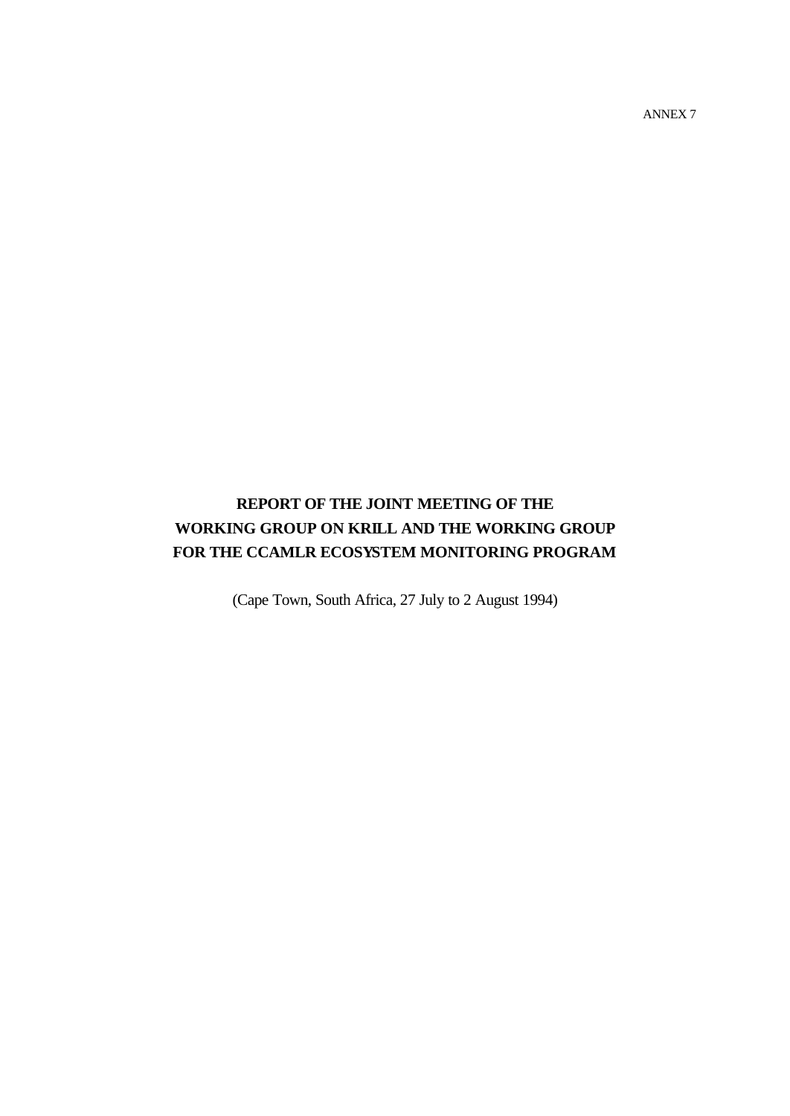ANNEX 7

## **REPORT OF THE JOINT MEETING OF THE WORKING GROUP ON KRILL AND THE WORKING GROUP FOR THE CCAMLR ECOSYSTEM MONITORING PROGRAM**

(Cape Town, South Africa, 27 July to 2 August 1994)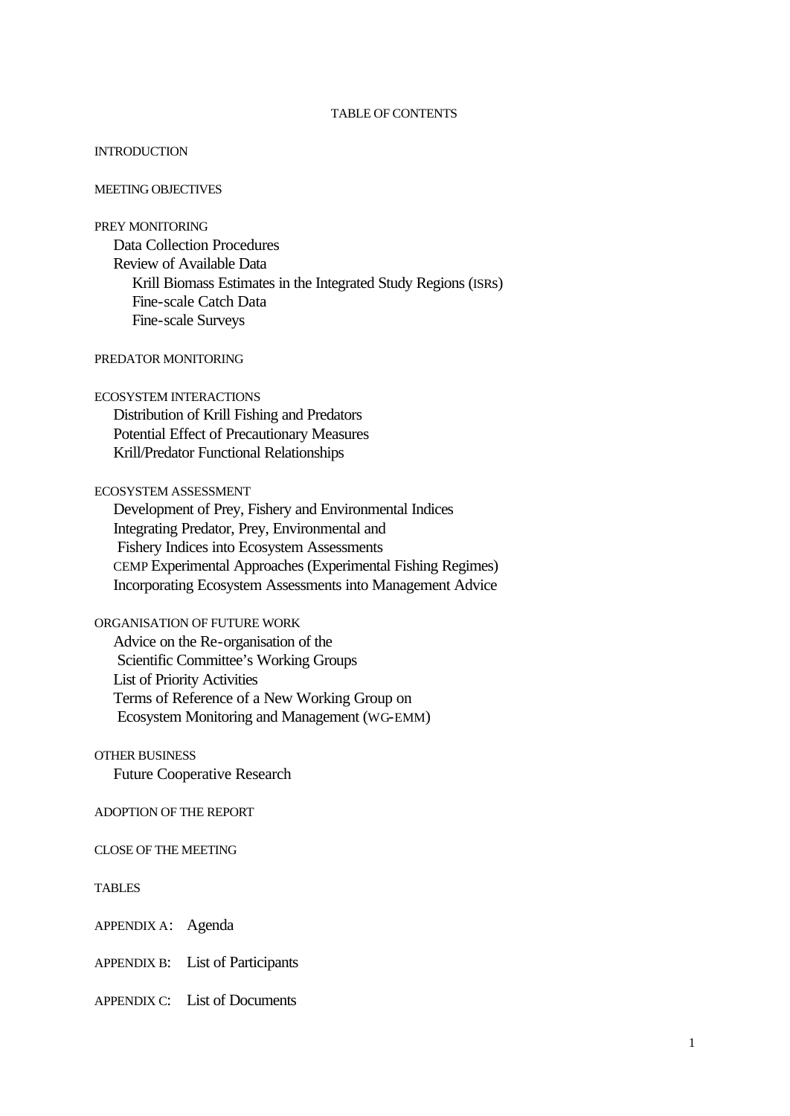### TABLE OF CONTENTS

#### **INTRODUCTION**

#### MEETING OBJECTIVES

### PREY MONITORING

Data Collection Procedures Review of Available Data Krill Biomass Estimates in the Integrated Study Regions (ISRs) Fine-scale Catch Data Fine-scale Surveys

## PREDATOR MONITORING

#### ECOSYSTEM INTERACTIONS

Distribution of Krill Fishing and Predators Potential Effect of Precautionary Measures Krill/Predator Functional Relationships

#### ECOSYSTEM ASSESSMENT

Development of Prey, Fishery and Environmental Indices Integrating Predator, Prey, Environmental and Fishery Indices into Ecosystem Assessments CEMP Experimental Approaches (Experimental Fishing Regimes) Incorporating Ecosystem Assessments into Management Advice

### ORGANISATION OF FUTURE WORK

Advice on the Re-organisation of the Scientific Committee's Working Groups List of Priority Activities Terms of Reference of a New Working Group on Ecosystem Monitoring and Management (WG-EMM)

#### OTHER BUSINESS

Future Cooperative Research

#### ADOPTION OF THE REPORT

CLOSE OF THE MEETING

#### TABLES

APPENDIX A: Agenda

APPENDIX B: List of Participants

#### APPENDIX C: List of Documents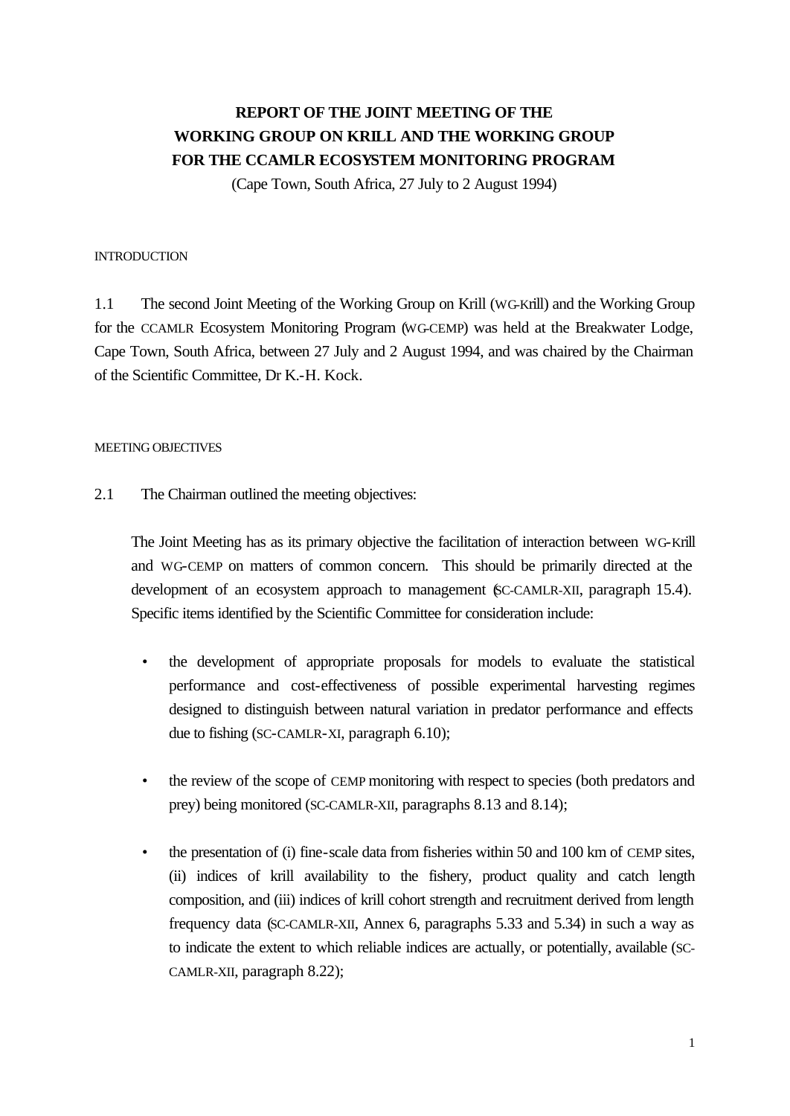## **REPORT OF THE JOINT MEETING OF THE WORKING GROUP ON KRILL AND THE WORKING GROUP FOR THE CCAMLR ECOSYSTEM MONITORING PROGRAM**

(Cape Town, South Africa, 27 July to 2 August 1994)

#### **INTRODUCTION**

1.1 The second Joint Meeting of the Working Group on Krill (WG-Krill) and the Working Group for the CCAMLR Ecosystem Monitoring Program (WG-CEMP) was held at the Breakwater Lodge, Cape Town, South Africa, between 27 July and 2 August 1994, and was chaired by the Chairman of the Scientific Committee, Dr K.-H. Kock.

### MEETING OBJECTIVES

2.1 The Chairman outlined the meeting objectives:

The Joint Meeting has as its primary objective the facilitation of interaction between WG-Krill and WG-CEMP on matters of common concern. This should be primarily directed at the development of an ecosystem approach to management (SC-CAMLR-XII, paragraph 15.4). Specific items identified by the Scientific Committee for consideration include:

- the development of appropriate proposals for models to evaluate the statistical performance and cost-effectiveness of possible experimental harvesting regimes designed to distinguish between natural variation in predator performance and effects due to fishing (SC-CAMLR-XI, paragraph 6.10);
- the review of the scope of CEMP monitoring with respect to species (both predators and prey) being monitored (SC-CAMLR-XII, paragraphs 8.13 and 8.14);
- the presentation of (i) fine-scale data from fisheries within 50 and 100 km of CEMP sites, (ii) indices of krill availability to the fishery, product quality and catch length composition, and (iii) indices of krill cohort strength and recruitment derived from length frequency data (SC-CAMLR-XII, Annex 6, paragraphs 5.33 and 5.34) in such a way as to indicate the extent to which reliable indices are actually, or potentially, available (SC-CAMLR-XII, paragraph 8.22);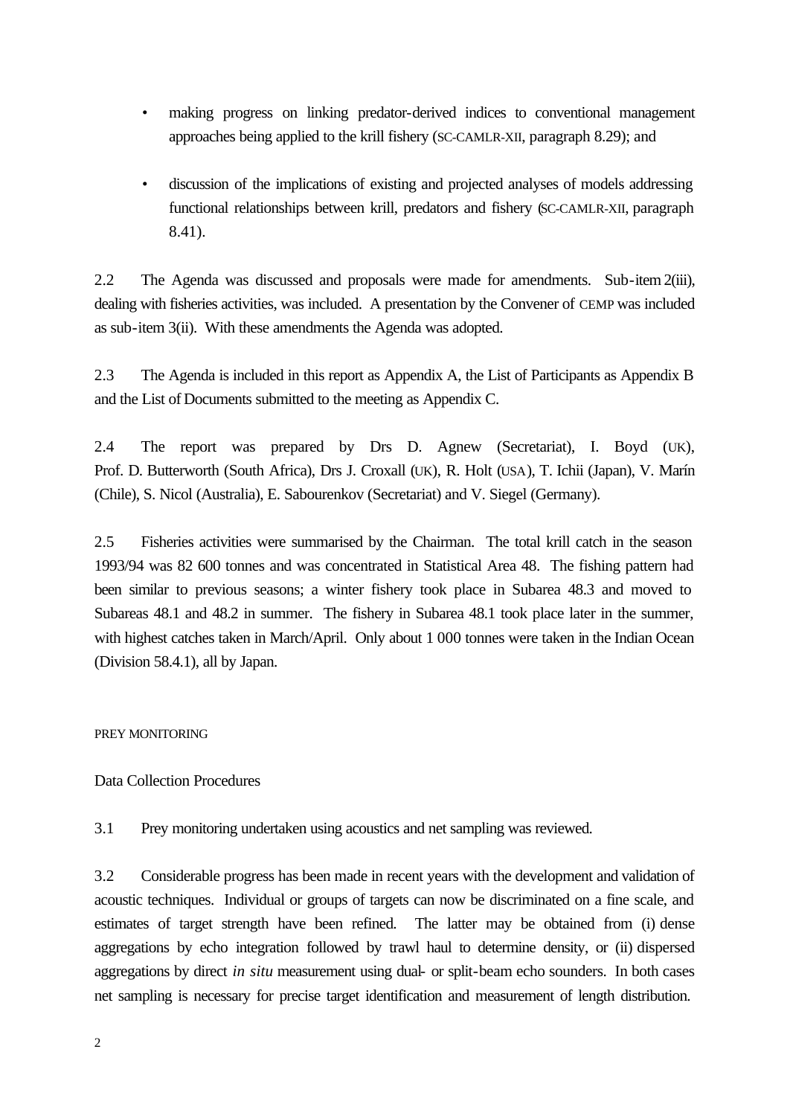- making progress on linking predator-derived indices to conventional management approaches being applied to the krill fishery (SC-CAMLR-XII, paragraph 8.29); and
- discussion of the implications of existing and projected analyses of models addressing functional relationships between krill, predators and fishery (SC-CAMLR-XII, paragraph 8.41).

2.2 The Agenda was discussed and proposals were made for amendments. Sub-item2(iii), dealing with fisheries activities, was included. A presentation by the Convener of CEMP was included as sub-item 3(ii). With these amendments the Agenda was adopted.

2.3 The Agenda is included in this report as Appendix A, the List of Participants as Appendix B and the List of Documents submitted to the meeting as Appendix C.

2.4 The report was prepared by Drs D. Agnew (Secretariat), I. Boyd (UK), Prof. D. Butterworth (South Africa), Drs J. Croxall (UK), R. Holt (USA), T. Ichii (Japan), V. Marín (Chile), S. Nicol (Australia), E. Sabourenkov (Secretariat) and V. Siegel (Germany).

2.5 Fisheries activities were summarised by the Chairman. The total krill catch in the season 1993/94 was 82 600 tonnes and was concentrated in Statistical Area 48. The fishing pattern had been similar to previous seasons; a winter fishery took place in Subarea 48.3 and moved to Subareas 48.1 and 48.2 in summer. The fishery in Subarea 48.1 took place later in the summer, with highest catches taken in March/April. Only about 1 000 tonnes were taken in the Indian Ocean (Division 58.4.1), all by Japan.

## PREY MONITORING

## Data Collection Procedures

3.1 Prey monitoring undertaken using acoustics and net sampling was reviewed.

3.2 Considerable progress has been made in recent years with the development and validation of acoustic techniques. Individual or groups of targets can now be discriminated on a fine scale, and estimates of target strength have been refined. The latter may be obtained from (i) dense aggregations by echo integration followed by trawl haul to determine density, or (ii) dispersed aggregations by direct *in situ* measurement using dual- or split-beam echo sounders. In both cases net sampling is necessary for precise target identification and measurement of length distribution.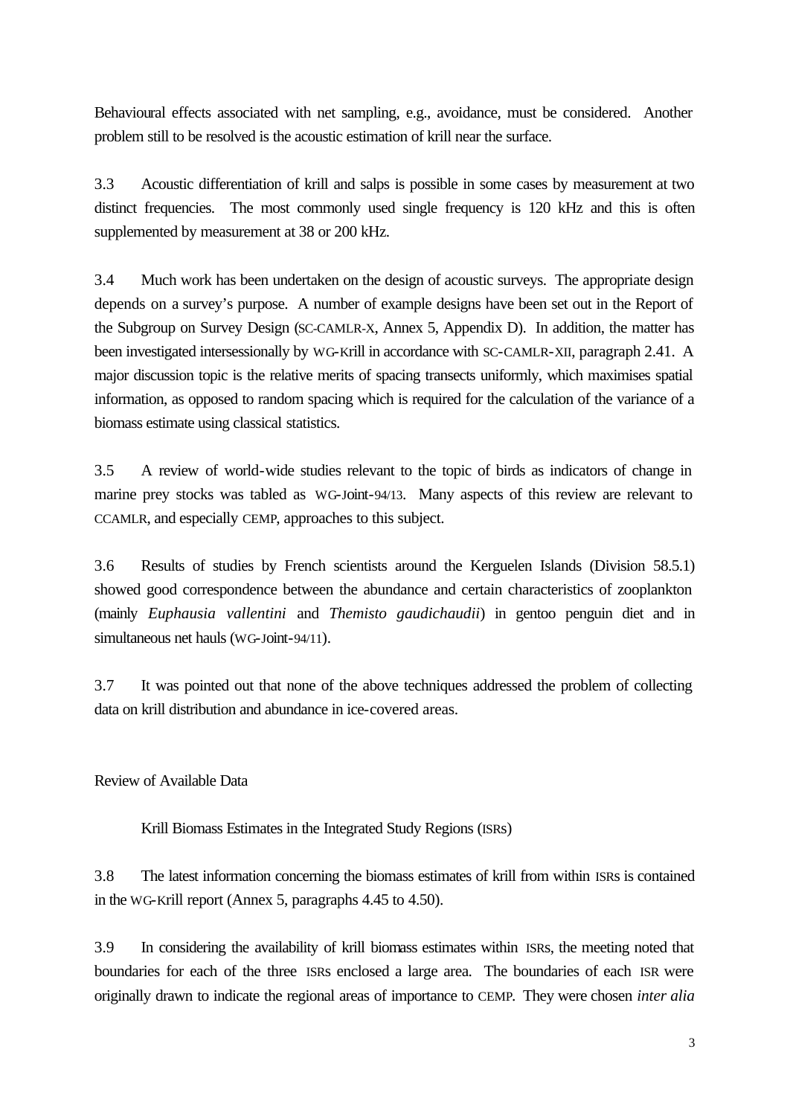Behavioural effects associated with net sampling, e.g., avoidance, must be considered. Another problem still to be resolved is the acoustic estimation of krill near the surface.

3.3 Acoustic differentiation of krill and salps is possible in some cases by measurement at two distinct frequencies. The most commonly used single frequency is 120 kHz and this is often supplemented by measurement at 38 or 200 kHz.

3.4 Much work has been undertaken on the design of acoustic surveys. The appropriate design depends on a survey's purpose. A number of example designs have been set out in the Report of the Subgroup on Survey Design (SC-CAMLR-X, Annex 5, Appendix D). In addition, the matter has been investigated intersessionally by WG-Krill in accordance with SC-CAMLR-XII, paragraph 2.41. A major discussion topic is the relative merits of spacing transects uniformly, which maximises spatial information, as opposed to random spacing which is required for the calculation of the variance of a biomass estimate using classical statistics.

3.5 A review of world-wide studies relevant to the topic of birds as indicators of change in marine prey stocks was tabled as WG-Joint-94/13. Many aspects of this review are relevant to CCAMLR, and especially CEMP, approaches to this subject.

3.6 Results of studies by French scientists around the Kerguelen Islands (Division 58.5.1) showed good correspondence between the abundance and certain characteristics of zooplankton (mainly *Euphausia vallentini* and *Themisto gaudichaudii*) in gentoo penguin diet and in simultaneous net hauls (WG-Joint-94/11).

3.7 It was pointed out that none of the above techniques addressed the problem of collecting data on krill distribution and abundance in ice-covered areas.

Review of Available Data

Krill Biomass Estimates in the Integrated Study Regions (ISRs)

3.8 The latest information concerning the biomass estimates of krill from within ISRs is contained in the WG-Krill report (Annex 5, paragraphs 4.45 to 4.50).

3.9 In considering the availability of krill biomass estimates within ISRs, the meeting noted that boundaries for each of the three ISRs enclosed a large area. The boundaries of each ISR were originally drawn to indicate the regional areas of importance to CEMP. They were chosen *inter alia*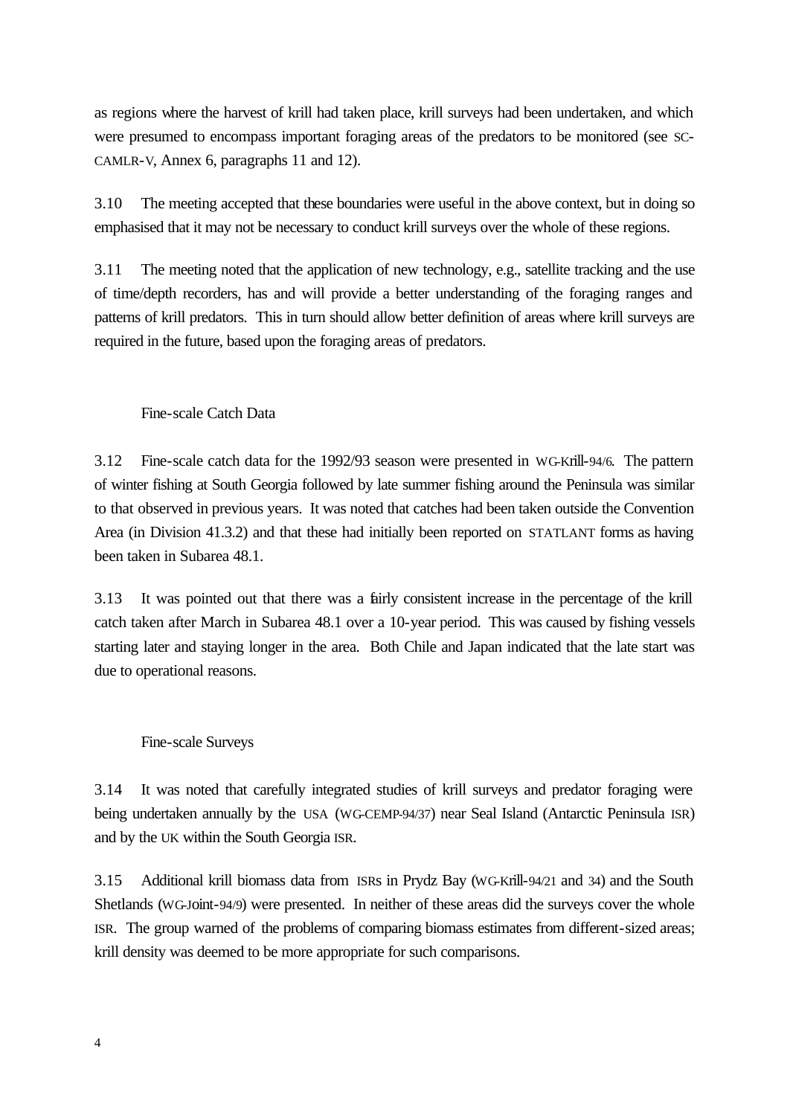as regions where the harvest of krill had taken place, krill surveys had been undertaken, and which were presumed to encompass important foraging areas of the predators to be monitored (see SC-CAMLR-V, Annex 6, paragraphs 11 and 12).

3.10 The meeting accepted that these boundaries were useful in the above context, but in doing so emphasised that it may not be necessary to conduct krill surveys over the whole of these regions.

3.11 The meeting noted that the application of new technology, e.g., satellite tracking and the use of time/depth recorders, has and will provide a better understanding of the foraging ranges and patterns of krill predators. This in turn should allow better definition of areas where krill surveys are required in the future, based upon the foraging areas of predators.

#### Fine-scale Catch Data

3.12 Fine-scale catch data for the 1992/93 season were presented in WG-Krill-94/6. The pattern of winter fishing at South Georgia followed by late summer fishing around the Peninsula was similar to that observed in previous years. It was noted that catches had been taken outside the Convention Area (in Division 41.3.2) and that these had initially been reported on STATLANT forms as having been taken in Subarea 48.1.

3.13 It was pointed out that there was a fairly consistent increase in the percentage of the krill catch taken after March in Subarea 48.1 over a 10-year period. This was caused by fishing vessels starting later and staying longer in the area. Both Chile and Japan indicated that the late start was due to operational reasons.

#### Fine-scale Surveys

3.14 It was noted that carefully integrated studies of krill surveys and predator foraging were being undertaken annually by the USA (WG-CEMP-94/37) near Seal Island (Antarctic Peninsula ISR) and by the UK within the South Georgia ISR.

3.15 Additional krill biomass data from ISRs in Prydz Bay (WG-Krill-94/21 and 34) and the South Shetlands (WG-Joint-94/9) were presented. In neither of these areas did the surveys cover the whole ISR. The group warned of the problems of comparing biomass estimates from different-sized areas; krill density was deemed to be more appropriate for such comparisons.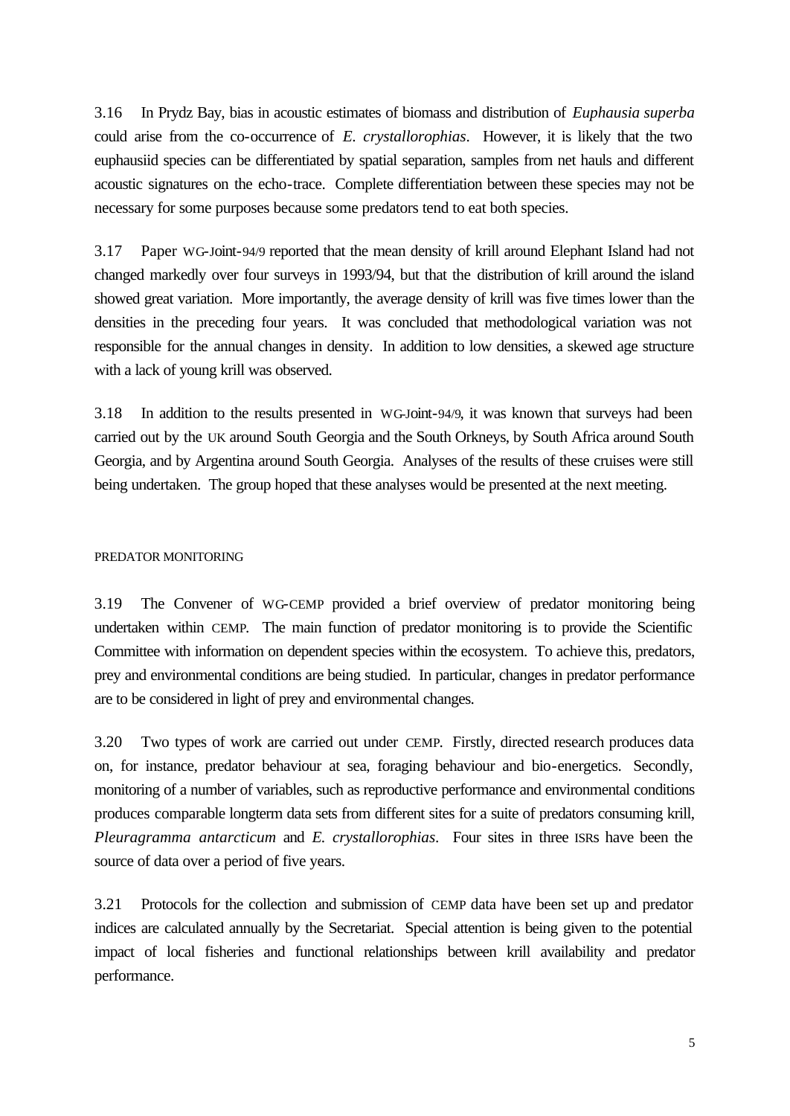3.16 In Prydz Bay, bias in acoustic estimates of biomass and distribution of *Euphausia superba*  could arise from the co-occurrence of *E. crystallorophias*. However, it is likely that the two euphausiid species can be differentiated by spatial separation, samples from net hauls and different acoustic signatures on the echo-trace. Complete differentiation between these species may not be necessary for some purposes because some predators tend to eat both species.

3.17 Paper WG-Joint-94/9 reported that the mean density of krill around Elephant Island had not changed markedly over four surveys in 1993/94, but that the distribution of krill around the island showed great variation. More importantly, the average density of krill was five times lower than the densities in the preceding four years. It was concluded that methodological variation was not responsible for the annual changes in density. In addition to low densities, a skewed age structure with a lack of young krill was observed.

3.18 In addition to the results presented in WG-Joint-94/9, it was known that surveys had been carried out by the UK around South Georgia and the South Orkneys, by South Africa around South Georgia, and by Argentina around South Georgia. Analyses of the results of these cruises were still being undertaken. The group hoped that these analyses would be presented at the next meeting.

#### PREDATOR MONITORING

3.19 The Convener of WG-CEMP provided a brief overview of predator monitoring being undertaken within CEMP. The main function of predator monitoring is to provide the Scientific Committee with information on dependent species within the ecosystem. To achieve this, predators, prey and environmental conditions are being studied. In particular, changes in predator performance are to be considered in light of prey and environmental changes.

3.20 Two types of work are carried out under CEMP. Firstly, directed research produces data on, for instance, predator behaviour at sea, foraging behaviour and bio-energetics. Secondly, monitoring of a number of variables, such as reproductive performance and environmental conditions produces comparable longterm data sets from different sites for a suite of predators consuming krill, *Pleuragramma antarcticum* and *E. crystallorophias*. Four sites in three ISRs have been the source of data over a period of five years.

3.21 Protocols for the collection and submission of CEMP data have been set up and predator indices are calculated annually by the Secretariat. Special attention is being given to the potential impact of local fisheries and functional relationships between krill availability and predator performance.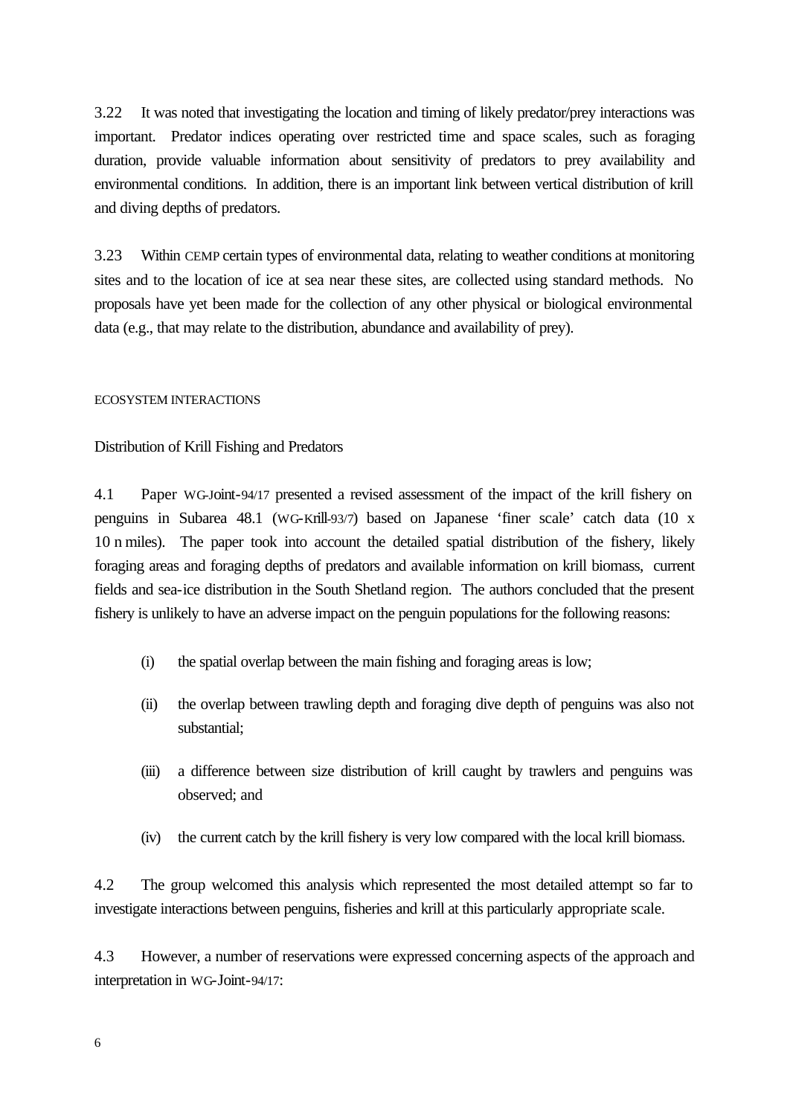3.22 It was noted that investigating the location and timing of likely predator/prey interactions was important. Predator indices operating over restricted time and space scales, such as foraging duration, provide valuable information about sensitivity of predators to prey availability and environmental conditions. In addition, there is an important link between vertical distribution of krill and diving depths of predators.

3.23 Within CEMP certain types of environmental data, relating to weather conditions at monitoring sites and to the location of ice at sea near these sites, are collected using standard methods. No proposals have yet been made for the collection of any other physical or biological environmental data (e.g., that may relate to the distribution, abundance and availability of prey).

#### ECOSYSTEM INTERACTIONS

#### Distribution of Krill Fishing and Predators

4.1 Paper WG-Joint-94/17 presented a revised assessment of the impact of the krill fishery on penguins in Subarea 48.1 (WG-Krill-93/7) based on Japanese 'finer scale' catch data (10 x 10 n miles). The paper took into account the detailed spatial distribution of the fishery, likely foraging areas and foraging depths of predators and available information on krill biomass, current fields and sea-ice distribution in the South Shetland region. The authors concluded that the present fishery is unlikely to have an adverse impact on the penguin populations for the following reasons:

- (i) the spatial overlap between the main fishing and foraging areas is low;
- (ii) the overlap between trawling depth and foraging dive depth of penguins was also not substantial;
- (iii) a difference between size distribution of krill caught by trawlers and penguins was observed; and
- (iv) the current catch by the krill fishery is very low compared with the local krill biomass.

4.2 The group welcomed this analysis which represented the most detailed attempt so far to investigate interactions between penguins, fisheries and krill at this particularly appropriate scale.

4.3 However, a number of reservations were expressed concerning aspects of the approach and interpretation in WG-Joint-94/17: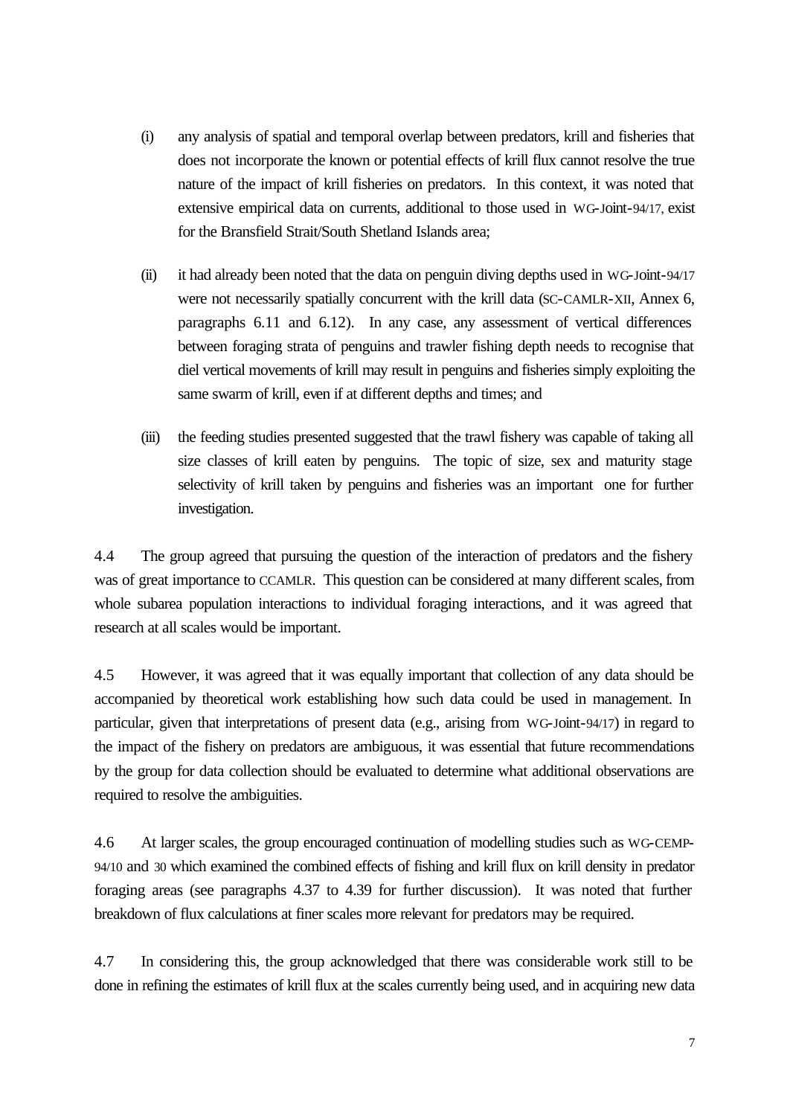- (i) any analysis of spatial and temporal overlap between predators, krill and fisheries that does not incorporate the known or potential effects of krill flux cannot resolve the true nature of the impact of krill fisheries on predators. In this context, it was noted that extensive empirical data on currents, additional to those used in WG-Joint-94/17, exist for the Bransfield Strait/South Shetland Islands area;
- (ii) it had already been noted that the data on penguin diving depths used in WG-Joint-94/17 were not necessarily spatially concurrent with the krill data (SC-CAMLR-XII, Annex 6, paragraphs 6.11 and 6.12). In any case, any assessment of vertical differences between foraging strata of penguins and trawler fishing depth needs to recognise that diel vertical movements of krill may result in penguins and fisheries simply exploiting the same swarm of krill, even if at different depths and times; and
- (iii) the feeding studies presented suggested that the trawl fishery was capable of taking all size classes of krill eaten by penguins. The topic of size, sex and maturity stage selectivity of krill taken by penguins and fisheries was an important one for further investigation.

4.4 The group agreed that pursuing the question of the interaction of predators and the fishery was of great importance to CCAMLR. This question can be considered at many different scales, from whole subarea population interactions to individual foraging interactions, and it was agreed that research at all scales would be important.

4.5 However, it was agreed that it was equally important that collection of any data should be accompanied by theoretical work establishing how such data could be used in management. In particular, given that interpretations of present data (e.g., arising from WG-Joint-94/17) in regard to the impact of the fishery on predators are ambiguous, it was essential that future recommendations by the group for data collection should be evaluated to determine what additional observations are required to resolve the ambiguities.

4.6 At larger scales, the group encouraged continuation of modelling studies such as WG-CEMP-94/10 and 30 which examined the combined effects of fishing and krill flux on krill density in predator foraging areas (see paragraphs 4.37 to 4.39 for further discussion). It was noted that further breakdown of flux calculations at finer scales more relevant for predators may be required.

4.7 In considering this, the group acknowledged that there was considerable work still to be done in refining the estimates of krill flux at the scales currently being used, and in acquiring new data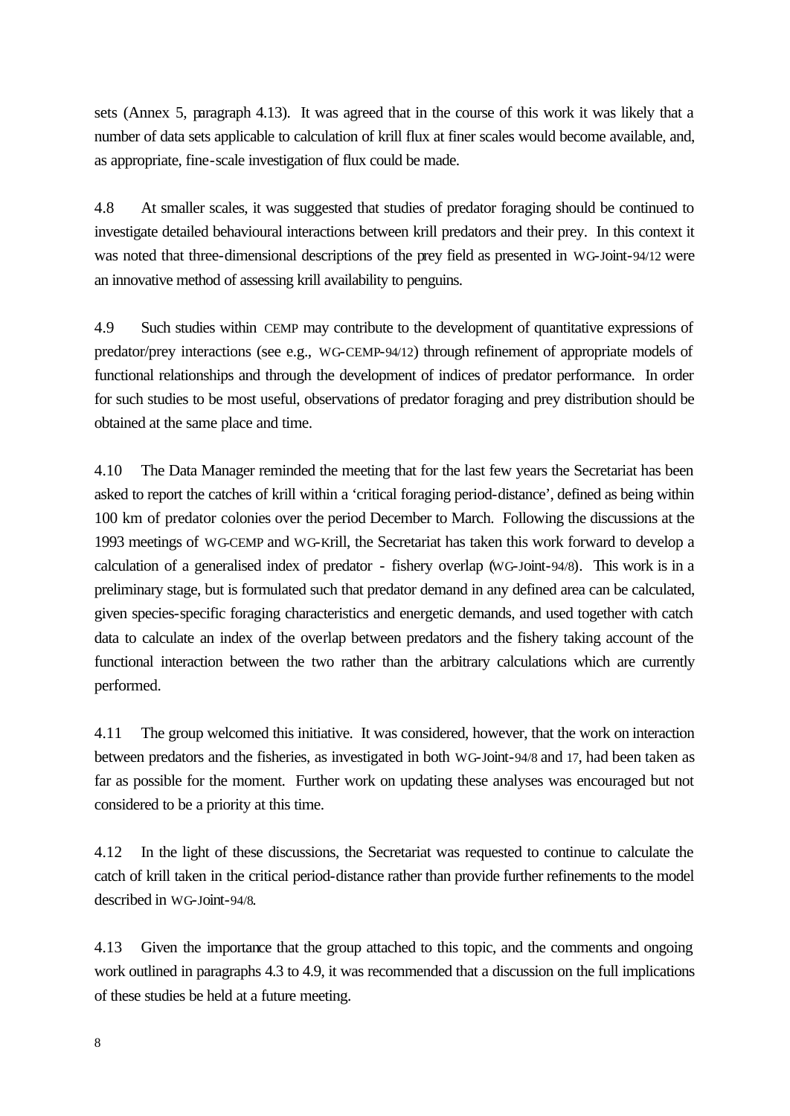sets (Annex 5, paragraph 4.13). It was agreed that in the course of this work it was likely that a number of data sets applicable to calculation of krill flux at finer scales would become available, and, as appropriate, fine-scale investigation of flux could be made.

4.8 At smaller scales, it was suggested that studies of predator foraging should be continued to investigate detailed behavioural interactions between krill predators and their prey. In this context it was noted that three-dimensional descriptions of the prey field as presented in WG-Joint-94/12 were an innovative method of assessing krill availability to penguins.

4.9 Such studies within CEMP may contribute to the development of quantitative expressions of predator/prey interactions (see e.g., WG-CEMP-94/12) through refinement of appropriate models of functional relationships and through the development of indices of predator performance. In order for such studies to be most useful, observations of predator foraging and prey distribution should be obtained at the same place and time.

4.10 The Data Manager reminded the meeting that for the last few years the Secretariat has been asked to report the catches of krill within a 'critical foraging period-distance', defined as being within 100 km of predator colonies over the period December to March. Following the discussions at the 1993 meetings of WG-CEMP and WG-Krill, the Secretariat has taken this work forward to develop a calculation of a generalised index of predator - fishery overlap (WG-Joint-94/8). This work is in a preliminary stage, but is formulated such that predator demand in any defined area can be calculated, given species-specific foraging characteristics and energetic demands, and used together with catch data to calculate an index of the overlap between predators and the fishery taking account of the functional interaction between the two rather than the arbitrary calculations which are currently performed.

4.11 The group welcomed this initiative. It was considered, however, that the work on interaction between predators and the fisheries, as investigated in both WG-Joint-94/8 and 17, had been taken as far as possible for the moment. Further work on updating these analyses was encouraged but not considered to be a priority at this time.

4.12 In the light of these discussions, the Secretariat was requested to continue to calculate the catch of krill taken in the critical period-distance rather than provide further refinements to the model described in WG-Joint-94/8.

4.13 Given the importance that the group attached to this topic, and the comments and ongoing work outlined in paragraphs 4.3 to 4.9, it was recommended that a discussion on the full implications of these studies be held at a future meeting.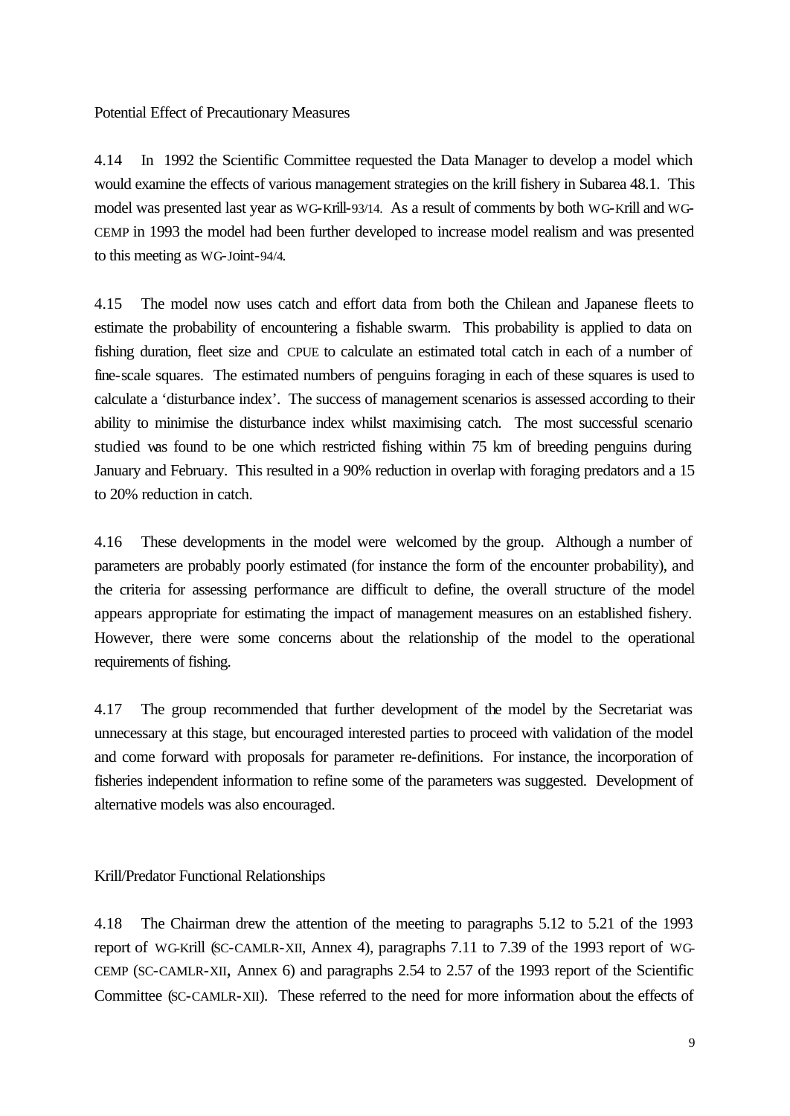Potential Effect of Precautionary Measures

4.14 In 1992 the Scientific Committee requested the Data Manager to develop a model which would examine the effects of various management strategies on the krill fishery in Subarea 48.1. This model was presented last year as WG-Krill-93/14. As a result of comments by both WG-Krill and WG-CEMP in 1993 the model had been further developed to increase model realism and was presented to this meeting as WG-Joint-94/4.

4.15 The model now uses catch and effort data from both the Chilean and Japanese fleets to estimate the probability of encountering a fishable swarm. This probability is applied to data on fishing duration, fleet size and CPUE to calculate an estimated total catch in each of a number of fine-scale squares. The estimated numbers of penguins foraging in each of these squares is used to calculate a 'disturbance index'. The success of management scenarios is assessed according to their ability to minimise the disturbance index whilst maximising catch. The most successful scenario studied was found to be one which restricted fishing within 75 km of breeding penguins during January and February. This resulted in a 90% reduction in overlap with foraging predators and a 15 to 20% reduction in catch.

4.16 These developments in the model were welcomed by the group. Although a number of parameters are probably poorly estimated (for instance the form of the encounter probability), and the criteria for assessing performance are difficult to define, the overall structure of the model appears appropriate for estimating the impact of management measures on an established fishery. However, there were some concerns about the relationship of the model to the operational requirements of fishing.

4.17 The group recommended that further development of the model by the Secretariat was unnecessary at this stage, but encouraged interested parties to proceed with validation of the model and come forward with proposals for parameter re-definitions. For instance, the incorporation of fisheries independent information to refine some of the parameters was suggested. Development of alternative models was also encouraged.

Krill/Predator Functional Relationships

4.18 The Chairman drew the attention of the meeting to paragraphs 5.12 to 5.21 of the 1993 report of WG-Krill (SC-CAMLR-XII, Annex 4), paragraphs 7.11 to 7.39 of the 1993 report of WG-CEMP (SC-CAMLR-XII, Annex 6) and paragraphs 2.54 to 2.57 of the 1993 report of the Scientific Committee (SC-CAMLR-XII). These referred to the need for more information about the effects of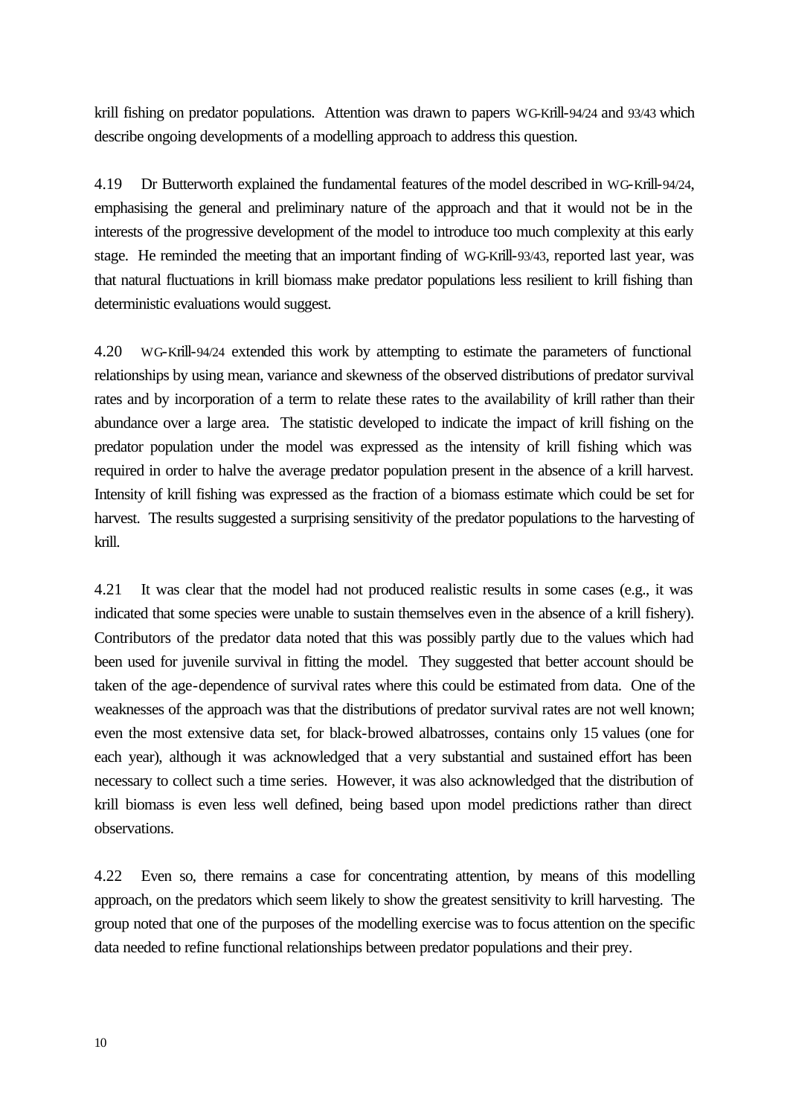krill fishing on predator populations. Attention was drawn to papers WG-Krill-94/24 and 93/43 which describe ongoing developments of a modelling approach to address this question.

4.19 Dr Butterworth explained the fundamental features of the model described in WG-Krill-94/24, emphasising the general and preliminary nature of the approach and that it would not be in the interests of the progressive development of the model to introduce too much complexity at this early stage. He reminded the meeting that an important finding of WG-Krill-93/43, reported last year, was that natural fluctuations in krill biomass make predator populations less resilient to krill fishing than deterministic evaluations would suggest.

4.20 WG-Krill-94/24 extended this work by attempting to estimate the parameters of functional relationships by using mean, variance and skewness of the observed distributions of predator survival rates and by incorporation of a term to relate these rates to the availability of krill rather than their abundance over a large area. The statistic developed to indicate the impact of krill fishing on the predator population under the model was expressed as the intensity of krill fishing which was required in order to halve the average predator population present in the absence of a krill harvest. Intensity of krill fishing was expressed as the fraction of a biomass estimate which could be set for harvest. The results suggested a surprising sensitivity of the predator populations to the harvesting of krill.

4.21 It was clear that the model had not produced realistic results in some cases (e.g., it was indicated that some species were unable to sustain themselves even in the absence of a krill fishery). Contributors of the predator data noted that this was possibly partly due to the values which had been used for juvenile survival in fitting the model. They suggested that better account should be taken of the age-dependence of survival rates where this could be estimated from data. One of the weaknesses of the approach was that the distributions of predator survival rates are not well known; even the most extensive data set, for black-browed albatrosses, contains only 15 values (one for each year), although it was acknowledged that a very substantial and sustained effort has been necessary to collect such a time series. However, it was also acknowledged that the distribution of krill biomass is even less well defined, being based upon model predictions rather than direct observations.

4.22 Even so, there remains a case for concentrating attention, by means of this modelling approach, on the predators which seem likely to show the greatest sensitivity to krill harvesting. The group noted that one of the purposes of the modelling exercise was to focus attention on the specific data needed to refine functional relationships between predator populations and their prey.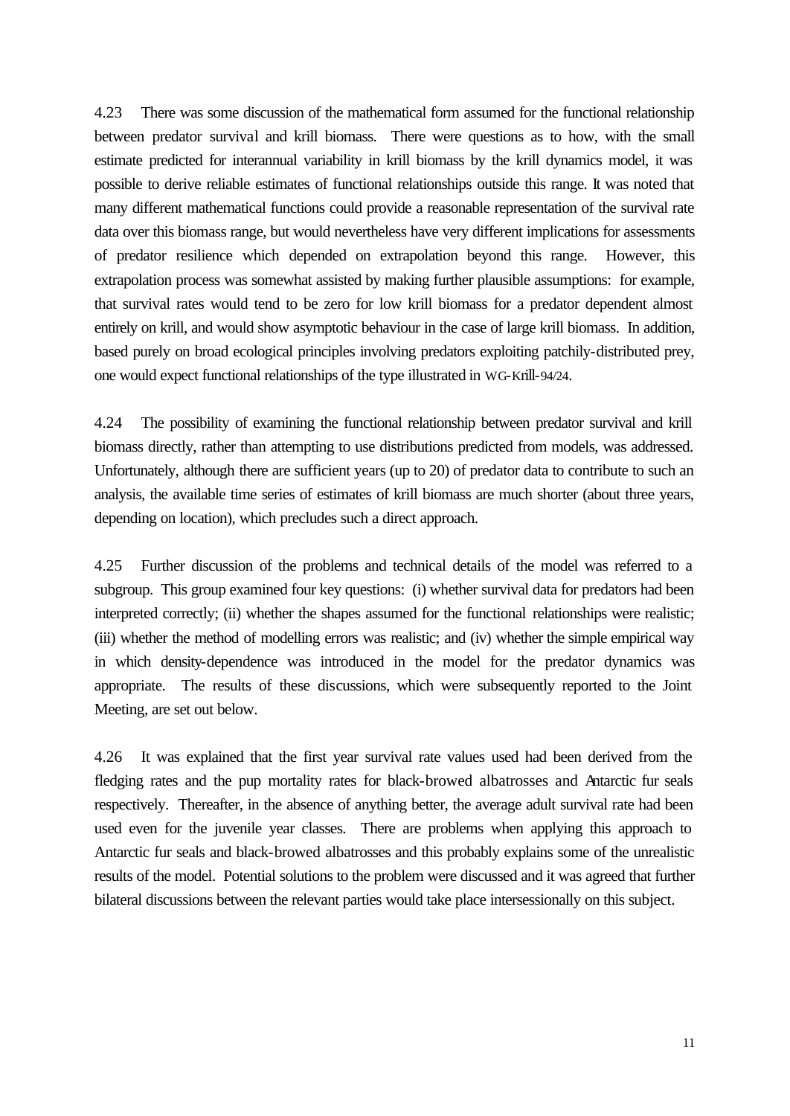4.23 There was some discussion of the mathematical form assumed for the functional relationship between predator survival and krill biomass. There were questions as to how, with the small estimate predicted for interannual variability in krill biomass by the krill dynamics model, it was possible to derive reliable estimates of functional relationships outside this range. It was noted that many different mathematical functions could provide a reasonable representation of the survival rate data over this biomass range, but would nevertheless have very different implications for assessments of predator resilience which depended on extrapolation beyond this range. However, this extrapolation process was somewhat assisted by making further plausible assumptions: for example, that survival rates would tend to be zero for low krill biomass for a predator dependent almost entirely on krill, and would show asymptotic behaviour in the case of large krill biomass. In addition, based purely on broad ecological principles involving predators exploiting patchily-distributed prey, one would expect functional relationships of the type illustrated in WG-Krill-94/24.

4.24 The possibility of examining the functional relationship between predator survival and krill biomass directly, rather than attempting to use distributions predicted from models, was addressed. Unfortunately, although there are sufficient years (up to 20) of predator data to contribute to such an analysis, the available time series of estimates of krill biomass are much shorter (about three years, depending on location), which precludes such a direct approach.

4.25 Further discussion of the problems and technical details of the model was referred to a subgroup. This group examined four key questions: (i) whether survival data for predators had been interpreted correctly; (ii) whether the shapes assumed for the functional relationships were realistic; (iii) whether the method of modelling errors was realistic; and (iv) whether the simple empirical way in which density-dependence was introduced in the model for the predator dynamics was appropriate. The results of these discussions, which were subsequently reported to the Joint Meeting, are set out below.

4.26 It was explained that the first year survival rate values used had been derived from the fledging rates and the pup mortality rates for black-browed albatrosses and Antarctic fur seals respectively. Thereafter, in the absence of anything better, the average adult survival rate had been used even for the juvenile year classes. There are problems when applying this approach to Antarctic fur seals and black-browed albatrosses and this probably explains some of the unrealistic results of the model. Potential solutions to the problem were discussed and it was agreed that further bilateral discussions between the relevant parties would take place intersessionally on this subject.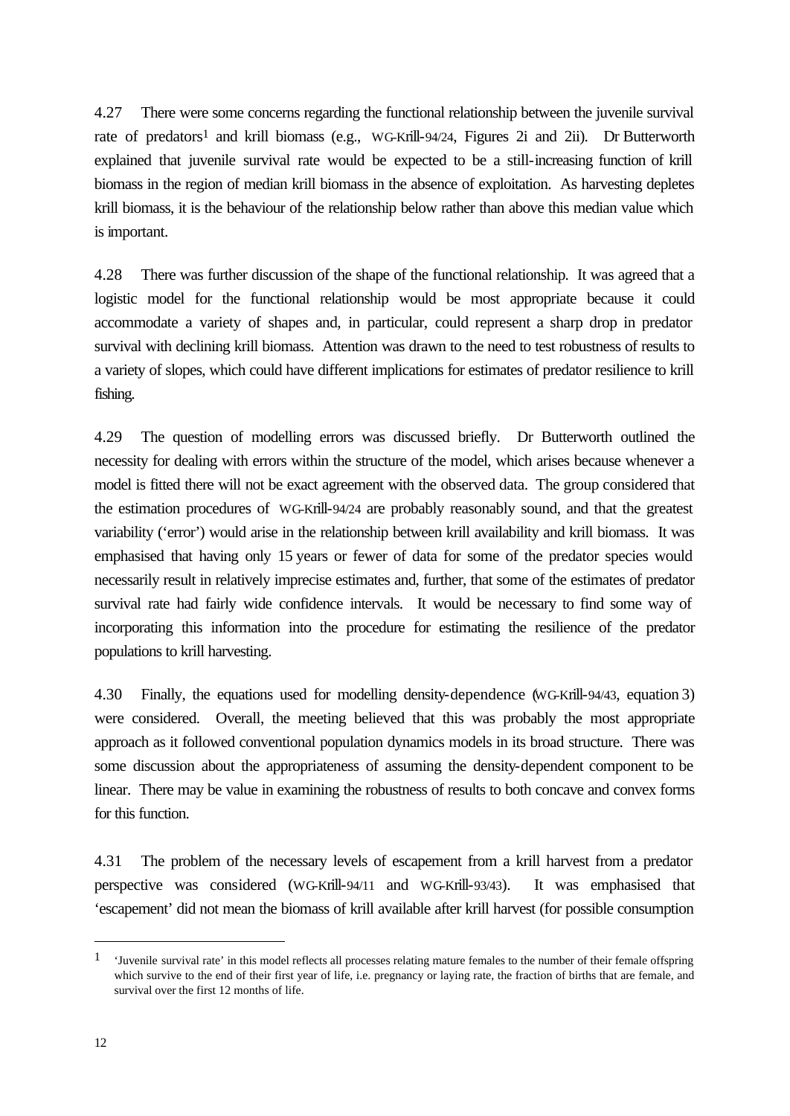4.27 There were some concerns regarding the functional relationship between the juvenile survival rate of predators<sup>1</sup> and krill biomass (e.g., WG-Krill-94/24, Figures 2i and 2ii). Dr Butterworth explained that juvenile survival rate would be expected to be a still-increasing function of krill biomass in the region of median krill biomass in the absence of exploitation. As harvesting depletes krill biomass, it is the behaviour of the relationship below rather than above this median value which is important.

4.28 There was further discussion of the shape of the functional relationship. It was agreed that a logistic model for the functional relationship would be most appropriate because it could accommodate a variety of shapes and, in particular, could represent a sharp drop in predator survival with declining krill biomass. Attention was drawn to the need to test robustness of results to a variety of slopes, which could have different implications for estimates of predator resilience to krill fishing.

4.29 The question of modelling errors was discussed briefly. Dr Butterworth outlined the necessity for dealing with errors within the structure of the model, which arises because whenever a model is fitted there will not be exact agreement with the observed data. The group considered that the estimation procedures of WG-Krill-94/24 are probably reasonably sound, and that the greatest variability ('error') would arise in the relationship between krill availability and krill biomass. It was emphasised that having only 15 years or fewer of data for some of the predator species would necessarily result in relatively imprecise estimates and, further, that some of the estimates of predator survival rate had fairly wide confidence intervals. It would be necessary to find some way of incorporating this information into the procedure for estimating the resilience of the predator populations to krill harvesting.

4.30 Finally, the equations used for modelling density-dependence (WG-Krill-94/43, equation 3) were considered. Overall, the meeting believed that this was probably the most appropriate approach as it followed conventional population dynamics models in its broad structure. There was some discussion about the appropriateness of assuming the density-dependent component to be linear. There may be value in examining the robustness of results to both concave and convex forms for this function.

4.31 The problem of the necessary levels of escapement from a krill harvest from a predator perspective was considered (WG-Krill-94/11 and WG-Krill-93/43). It was emphasised that 'escapement' did not mean the biomass of krill available after krill harvest (for possible consumption

l

<sup>&</sup>lt;sup>1</sup> 'Juvenile survival rate' in this model reflects all processes relating mature females to the number of their female offspring which survive to the end of their first year of life, i.e. pregnancy or laying rate, the fraction of births that are female, and survival over the first 12 months of life.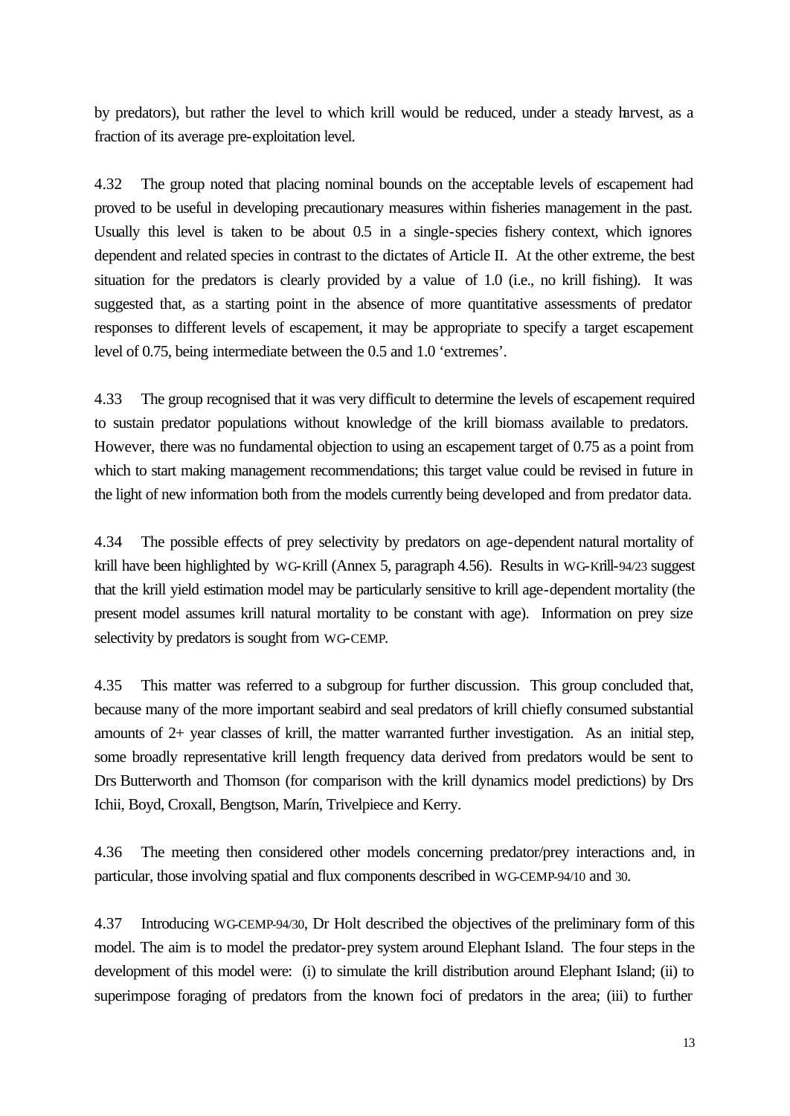by predators), but rather the level to which krill would be reduced, under a steady harvest, as a fraction of its average pre-exploitation level.

4.32 The group noted that placing nominal bounds on the acceptable levels of escapement had proved to be useful in developing precautionary measures within fisheries management in the past. Usually this level is taken to be about 0.5 in a single-species fishery context, which ignores dependent and related species in contrast to the dictates of Article II. At the other extreme, the best situation for the predators is clearly provided by a value of 1.0 (i.e., no krill fishing). It was suggested that, as a starting point in the absence of more quantitative assessments of predator responses to different levels of escapement, it may be appropriate to specify a target escapement level of 0.75, being intermediate between the 0.5 and 1.0 'extremes'.

4.33 The group recognised that it was very difficult to determine the levels of escapement required to sustain predator populations without knowledge of the krill biomass available to predators. However, there was no fundamental objection to using an escapement target of 0.75 as a point from which to start making management recommendations; this target value could be revised in future in the light of new information both from the models currently being developed and from predator data.

4.34 The possible effects of prey selectivity by predators on age-dependent natural mortality of krill have been highlighted by WG-Krill (Annex 5, paragraph 4.56). Results in WG-Krill-94/23 suggest that the krill yield estimation model may be particularly sensitive to krill age-dependent mortality (the present model assumes krill natural mortality to be constant with age). Information on prey size selectivity by predators is sought from WG-CEMP.

4.35 This matter was referred to a subgroup for further discussion. This group concluded that, because many of the more important seabird and seal predators of krill chiefly consumed substantial amounts of 2+ year classes of krill, the matter warranted further investigation. As an initial step, some broadly representative krill length frequency data derived from predators would be sent to Drs Butterworth and Thomson (for comparison with the krill dynamics model predictions) by Drs Ichii, Boyd, Croxall, Bengtson, Marín, Trivelpiece and Kerry.

4.36 The meeting then considered other models concerning predator/prey interactions and, in particular, those involving spatial and flux components described in WG-CEMP-94/10 and 30.

4.37 Introducing WG-CEMP-94/30, Dr Holt described the objectives of the preliminary form of this model. The aim is to model the predator-prey system around Elephant Island. The four steps in the development of this model were: (i) to simulate the krill distribution around Elephant Island; (ii) to superimpose foraging of predators from the known foci of predators in the area; (iii) to further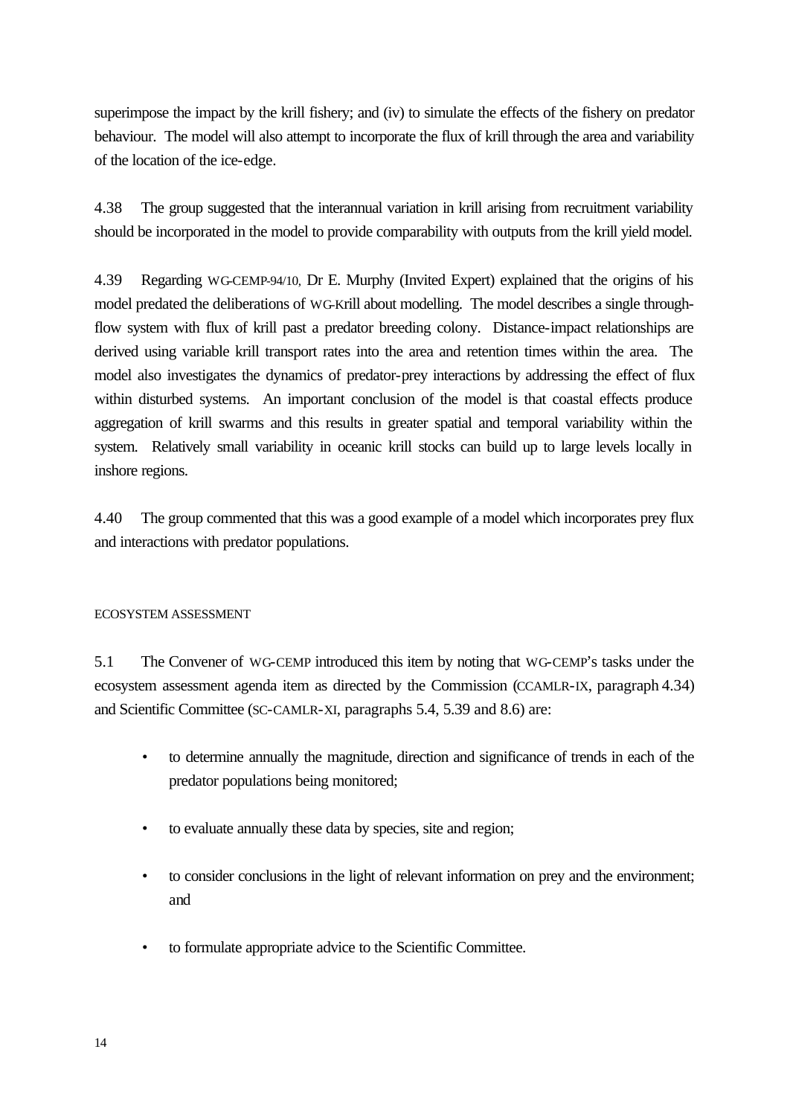superimpose the impact by the krill fishery; and (iv) to simulate the effects of the fishery on predator behaviour. The model will also attempt to incorporate the flux of krill through the area and variability of the location of the ice-edge.

4.38 The group suggested that the interannual variation in krill arising from recruitment variability should be incorporated in the model to provide comparability with outputs from the krill yield model.

4.39 Regarding WG-CEMP-94/10, Dr E. Murphy (Invited Expert) explained that the origins of his model predated the deliberations of WG-Krill about modelling. The model describes a single throughflow system with flux of krill past a predator breeding colony. Distance-impact relationships are derived using variable krill transport rates into the area and retention times within the area. The model also investigates the dynamics of predator-prey interactions by addressing the effect of flux within disturbed systems. An important conclusion of the model is that coastal effects produce aggregation of krill swarms and this results in greater spatial and temporal variability within the system. Relatively small variability in oceanic krill stocks can build up to large levels locally in inshore regions.

4.40 The group commented that this was a good example of a model which incorporates prey flux and interactions with predator populations.

## ECOSYSTEM ASSESSMENT

5.1 The Convener of WG-CEMP introduced this item by noting that WG-CEMP's tasks under the ecosystem assessment agenda item as directed by the Commission (CCAMLR-IX, paragraph 4.34) and Scientific Committee (SC-CAMLR-XI, paragraphs 5.4, 5.39 and 8.6) are:

- to determine annually the magnitude, direction and significance of trends in each of the predator populations being monitored;
- to evaluate annually these data by species, site and region;
- to consider conclusions in the light of relevant information on prey and the environment; and
- to formulate appropriate advice to the Scientific Committee.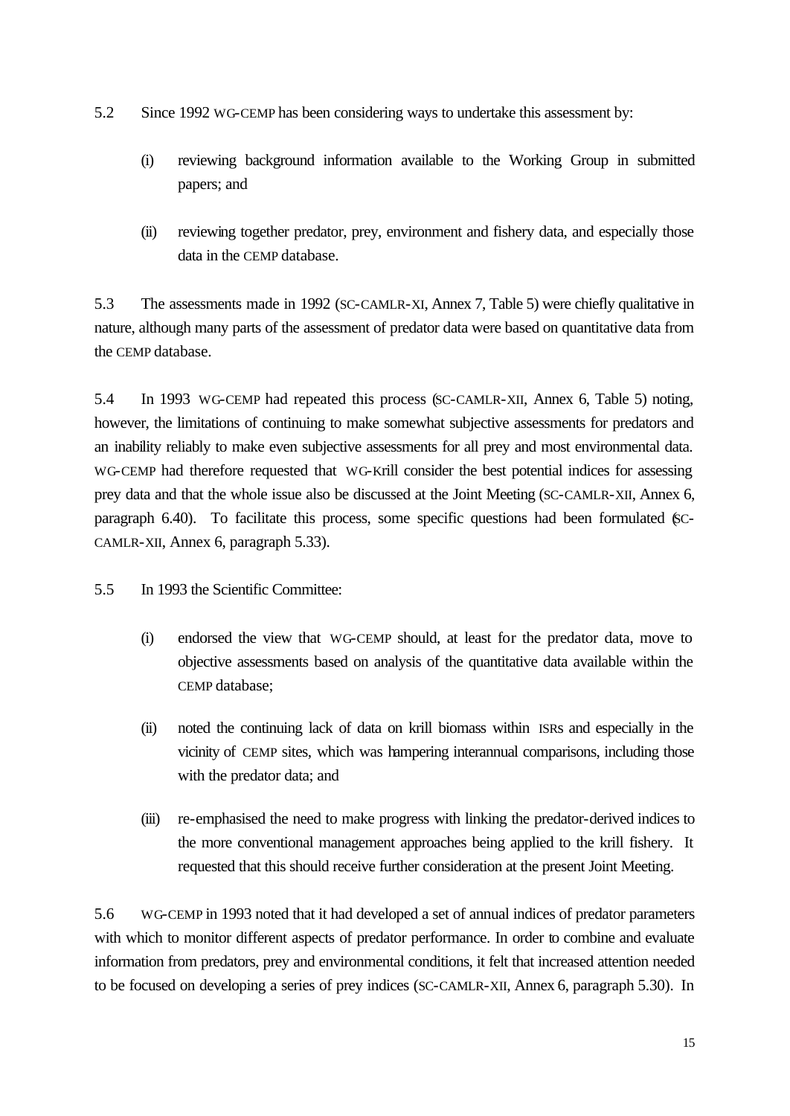- 5.2 Since 1992 WG-CEMP has been considering ways to undertake this assessment by:
	- (i) reviewing background information available to the Working Group in submitted papers; and
	- (ii) reviewing together predator, prey, environment and fishery data, and especially those data in the CEMP database.

5.3 The assessments made in 1992 (SC-CAMLR-XI, Annex 7, Table 5) were chiefly qualitative in nature, although many parts of the assessment of predator data were based on quantitative data from the CEMP database.

5.4 In 1993 WG-CEMP had repeated this process (SC-CAMLR-XII, Annex 6, Table 5) noting, however, the limitations of continuing to make somewhat subjective assessments for predators and an inability reliably to make even subjective assessments for all prey and most environmental data. WG-CEMP had therefore requested that WG-Krill consider the best potential indices for assessing prey data and that the whole issue also be discussed at the Joint Meeting (SC-CAMLR-XII, Annex 6, paragraph 6.40). To facilitate this process, some specific questions had been formulated (SC-CAMLR-XII, Annex 6, paragraph 5.33).

- 5.5 In 1993 the Scientific Committee:
	- (i) endorsed the view that WG-CEMP should, at least for the predator data, move to objective assessments based on analysis of the quantitative data available within the CEMP database;
	- (ii) noted the continuing lack of data on krill biomass within ISRs and especially in the vicinity of CEMP sites, which was hampering interannual comparisons, including those with the predator data; and
	- (iii) re-emphasised the need to make progress with linking the predator-derived indices to the more conventional management approaches being applied to the krill fishery. It requested that this should receive further consideration at the present Joint Meeting.

5.6 WG-CEMP in 1993 noted that it had developed a set of annual indices of predator parameters with which to monitor different aspects of predator performance. In order to combine and evaluate information from predators, prey and environmental conditions, it felt that increased attention needed to be focused on developing a series of prey indices (SC-CAMLR-XII, Annex 6, paragraph 5.30). In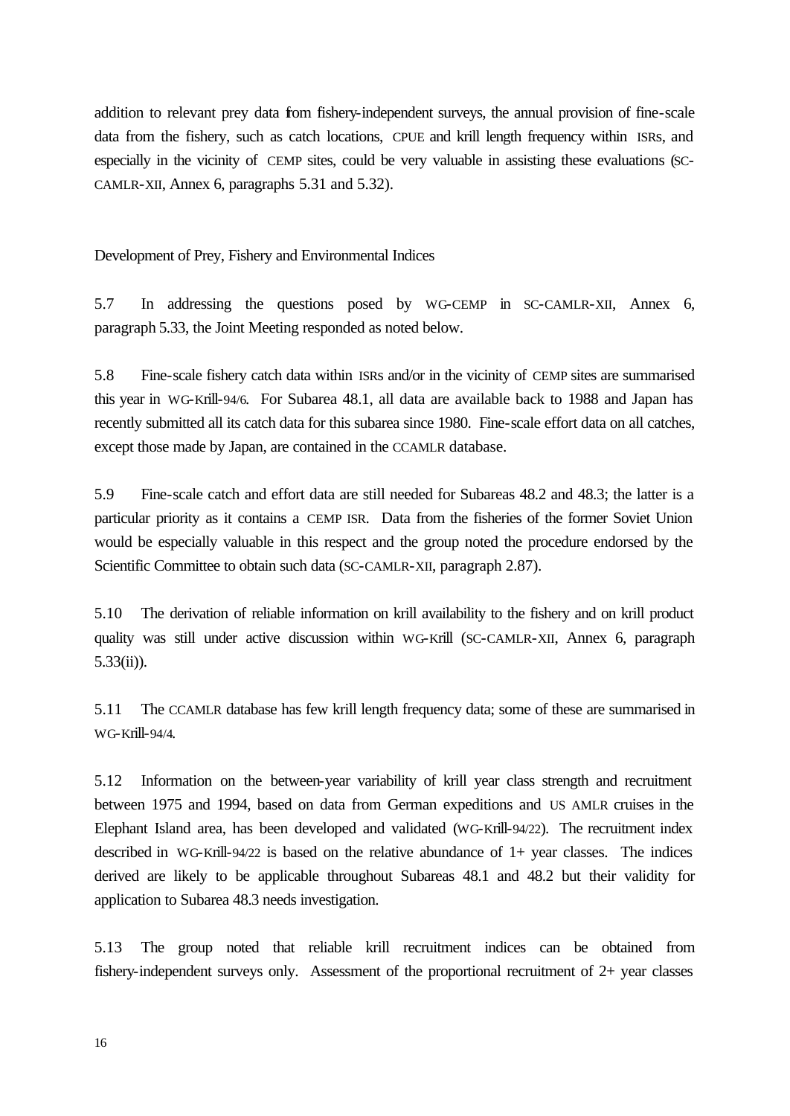addition to relevant prey data from fishery-independent surveys, the annual provision of fine-scale data from the fishery, such as catch locations, CPUE and krill length frequency within ISRs, and especially in the vicinity of CEMP sites, could be very valuable in assisting these evaluations (SC-CAMLR-XII, Annex 6, paragraphs 5.31 and 5.32).

Development of Prey, Fishery and Environmental Indices

5.7 In addressing the questions posed by WG-CEMP in SC-CAMLR-XII, Annex 6, paragraph 5.33, the Joint Meeting responded as noted below.

5.8 Fine-scale fishery catch data within ISRs and/or in the vicinity of CEMP sites are summarised this year in WG-Krill-94/6. For Subarea 48.1, all data are available back to 1988 and Japan has recently submitted all its catch data for this subarea since 1980. Fine-scale effort data on all catches, except those made by Japan, are contained in the CCAMLR database.

5.9 Fine-scale catch and effort data are still needed for Subareas 48.2 and 48.3; the latter is a particular priority as it contains a CEMP ISR. Data from the fisheries of the former Soviet Union would be especially valuable in this respect and the group noted the procedure endorsed by the Scientific Committee to obtain such data (SC-CAMLR-XII, paragraph 2.87).

5.10 The derivation of reliable information on krill availability to the fishery and on krill product quality was still under active discussion within WG-Krill (SC-CAMLR-XII, Annex 6, paragraph 5.33(ii)).

5.11 The CCAMLR database has few krill length frequency data; some of these are summarised in WG-Krill-94/4.

5.12 Information on the between-year variability of krill year class strength and recruitment between 1975 and 1994, based on data from German expeditions and US AMLR cruises in the Elephant Island area, has been developed and validated (WG-Krill-94/22). The recruitment index described in WG-Krill-94/22 is based on the relative abundance of 1+ year classes. The indices derived are likely to be applicable throughout Subareas 48.1 and 48.2 but their validity for application to Subarea 48.3 needs investigation.

5.13 The group noted that reliable krill recruitment indices can be obtained from fishery-independent surveys only. Assessment of the proportional recruitment of 2+ year classes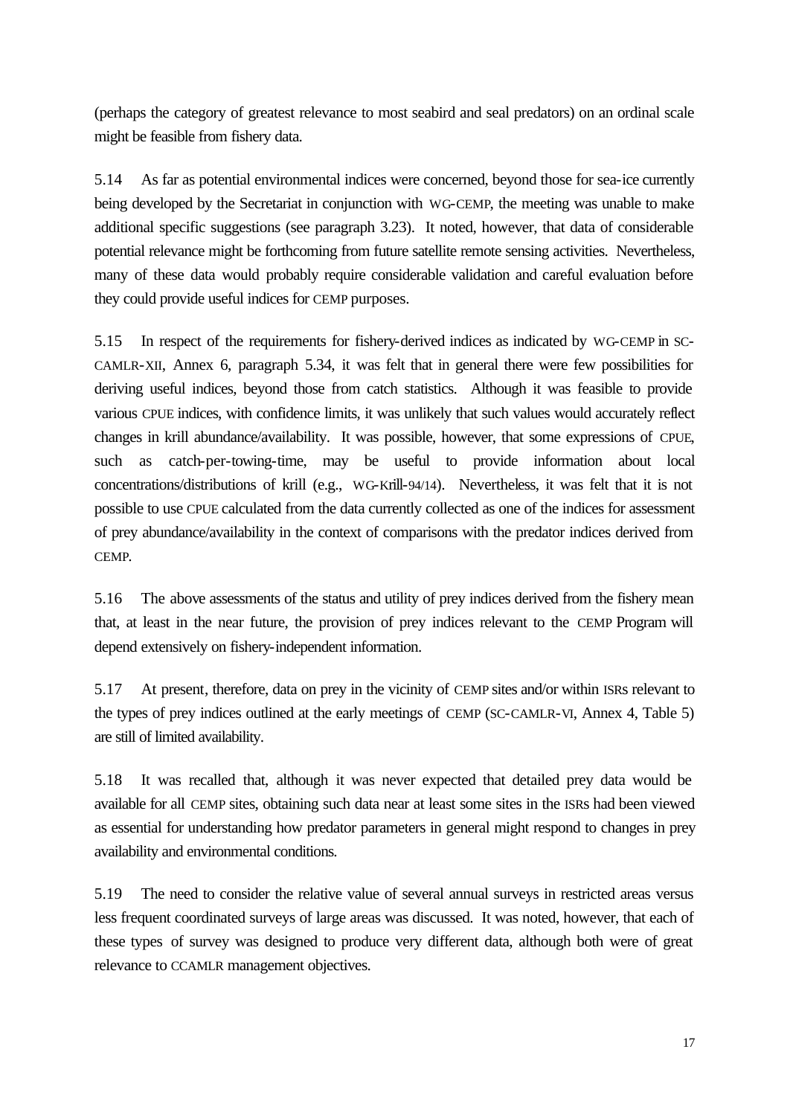(perhaps the category of greatest relevance to most seabird and seal predators) on an ordinal scale might be feasible from fishery data.

5.14 As far as potential environmental indices were concerned, beyond those for sea-ice currently being developed by the Secretariat in conjunction with WG-CEMP, the meeting was unable to make additional specific suggestions (see paragraph 3.23). It noted, however, that data of considerable potential relevance might be forthcoming from future satellite remote sensing activities. Nevertheless, many of these data would probably require considerable validation and careful evaluation before they could provide useful indices for CEMP purposes.

5.15 In respect of the requirements for fishery-derived indices as indicated by WG-CEMP in SC-CAMLR-XII, Annex 6, paragraph 5.34, it was felt that in general there were few possibilities for deriving useful indices, beyond those from catch statistics. Although it was feasible to provide various CPUE indices, with confidence limits, it was unlikely that such values would accurately reflect changes in krill abundance/availability. It was possible, however, that some expressions of CPUE, such as catch-per-towing-time, may be useful to provide information about local concentrations/distributions of krill (e.g., WG-Krill-94/14). Nevertheless, it was felt that it is not possible to use CPUE calculated from the data currently collected as one of the indices for assessment of prey abundance/availability in the context of comparisons with the predator indices derived from CEMP.

5.16 The above assessments of the status and utility of prey indices derived from the fishery mean that, at least in the near future, the provision of prey indices relevant to the CEMP Program will depend extensively on fishery-independent information.

5.17 At present, therefore, data on prey in the vicinity of CEMP sites and/or within ISRs relevant to the types of prey indices outlined at the early meetings of CEMP (SC-CAMLR-VI, Annex 4, Table 5) are still of limited availability.

5.18 It was recalled that, although it was never expected that detailed prey data would be available for all CEMP sites, obtaining such data near at least some sites in the ISRs had been viewed as essential for understanding how predator parameters in general might respond to changes in prey availability and environmental conditions.

5.19 The need to consider the relative value of several annual surveys in restricted areas versus less frequent coordinated surveys of large areas was discussed. It was noted, however, that each of these types of survey was designed to produce very different data, although both were of great relevance to CCAMLR management objectives.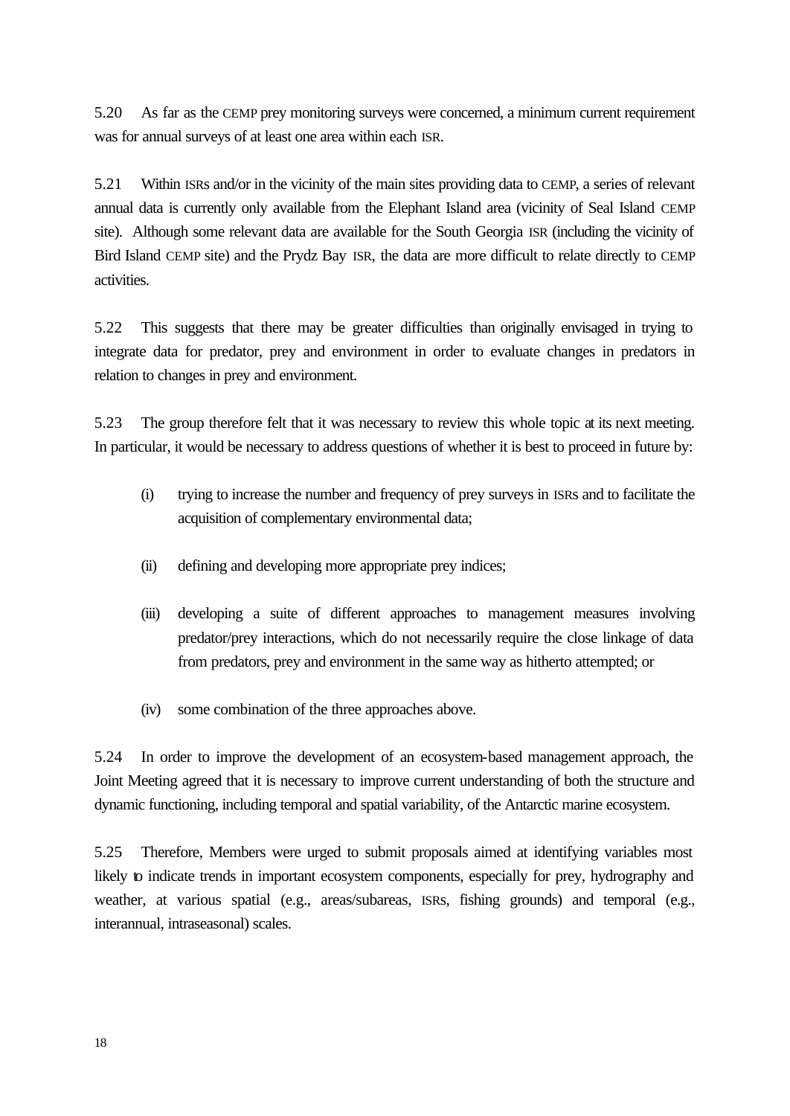5.20 As far as the CEMP prey monitoring surveys were concerned, a minimum current requirement was for annual surveys of at least one area within each ISR.

5.21 Within ISRs and/or in the vicinity of the main sites providing data to CEMP, a series of relevant annual data is currently only available from the Elephant Island area (vicinity of Seal Island CEMP site). Although some relevant data are available for the South Georgia ISR (including the vicinity of Bird Island CEMP site) and the Prydz Bay ISR, the data are more difficult to relate directly to CEMP activities.

5.22 This suggests that there may be greater difficulties than originally envisaged in trying to integrate data for predator, prey and environment in order to evaluate changes in predators in relation to changes in prey and environment.

5.23 The group therefore felt that it was necessary to review this whole topic at its next meeting. In particular, it would be necessary to address questions of whether it is best to proceed in future by:

- (i) trying to increase the number and frequency of prey surveys in ISRs and to facilitate the acquisition of complementary environmental data;
- (ii) defining and developing more appropriate prey indices;
- (iii) developing a suite of different approaches to management measures involving predator/prey interactions, which do not necessarily require the close linkage of data from predators, prey and environment in the same way as hitherto attempted; or
- (iv) some combination of the three approaches above.

5.24 In order to improve the development of an ecosystem-based management approach, the Joint Meeting agreed that it is necessary to improve current understanding of both the structure and dynamic functioning, including temporal and spatial variability, of the Antarctic marine ecosystem.

5.25 Therefore, Members were urged to submit proposals aimed at identifying variables most likely to indicate trends in important ecosystem components, especially for prey, hydrography and weather, at various spatial (e.g., areas/subareas, ISRs, fishing grounds) and temporal (e.g., interannual, intraseasonal) scales.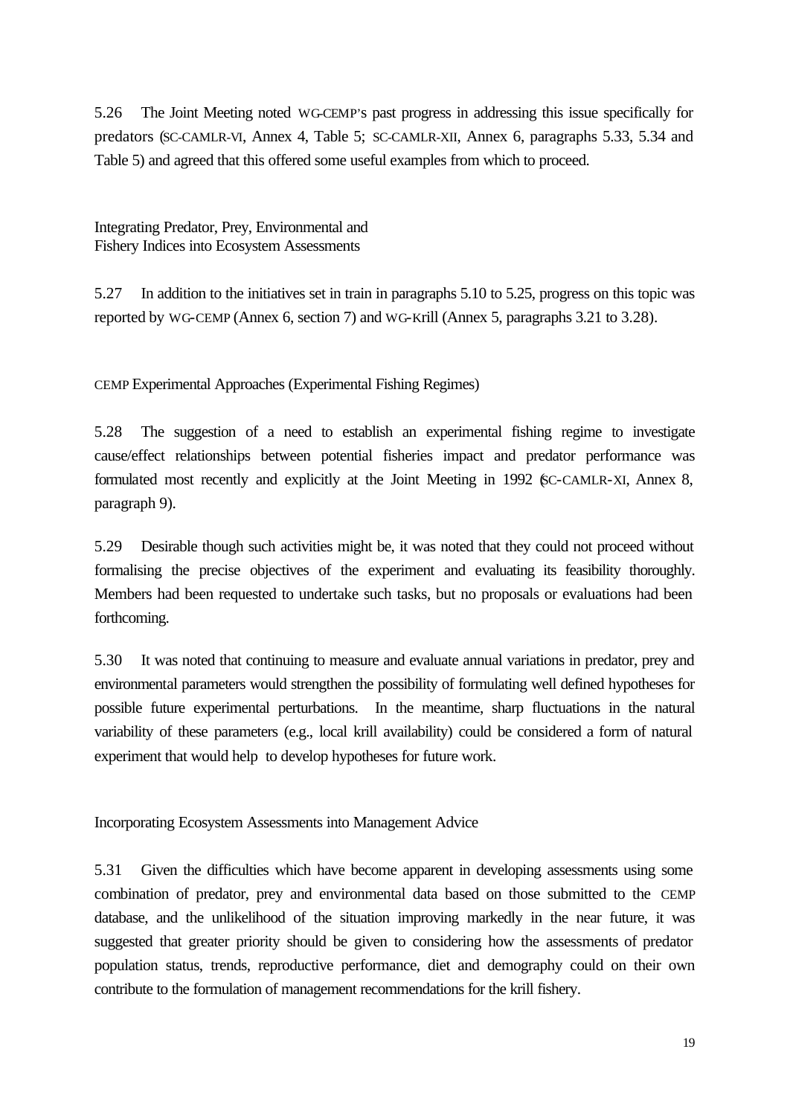5.26 The Joint Meeting noted WG-CEMP's past progress in addressing this issue specifically for predators (SC-CAMLR-VI, Annex 4, Table 5; SC-CAMLR-XII, Annex 6, paragraphs 5.33, 5.34 and Table 5) and agreed that this offered some useful examples from which to proceed.

Integrating Predator, Prey, Environmental and Fishery Indices into Ecosystem Assessments

5.27 In addition to the initiatives set in train in paragraphs 5.10 to 5.25, progress on this topic was reported by WG-CEMP (Annex 6, section 7) and WG-Krill (Annex 5, paragraphs 3.21 to 3.28).

CEMP Experimental Approaches (Experimental Fishing Regimes)

5.28 The suggestion of a need to establish an experimental fishing regime to investigate cause/effect relationships between potential fisheries impact and predator performance was formulated most recently and explicitly at the Joint Meeting in 1992 (SC-CAMLR-XI, Annex 8, paragraph 9).

5.29 Desirable though such activities might be, it was noted that they could not proceed without formalising the precise objectives of the experiment and evaluating its feasibility thoroughly. Members had been requested to undertake such tasks, but no proposals or evaluations had been forthcoming.

5.30 It was noted that continuing to measure and evaluate annual variations in predator, prey and environmental parameters would strengthen the possibility of formulating well defined hypotheses for possible future experimental perturbations. In the meantime, sharp fluctuations in the natural variability of these parameters (e.g., local krill availability) could be considered a form of natural experiment that would help to develop hypotheses for future work.

Incorporating Ecosystem Assessments into Management Advice

5.31 Given the difficulties which have become apparent in developing assessments using some combination of predator, prey and environmental data based on those submitted to the CEMP database, and the unlikelihood of the situation improving markedly in the near future, it was suggested that greater priority should be given to considering how the assessments of predator population status, trends, reproductive performance, diet and demography could on their own contribute to the formulation of management recommendations for the krill fishery.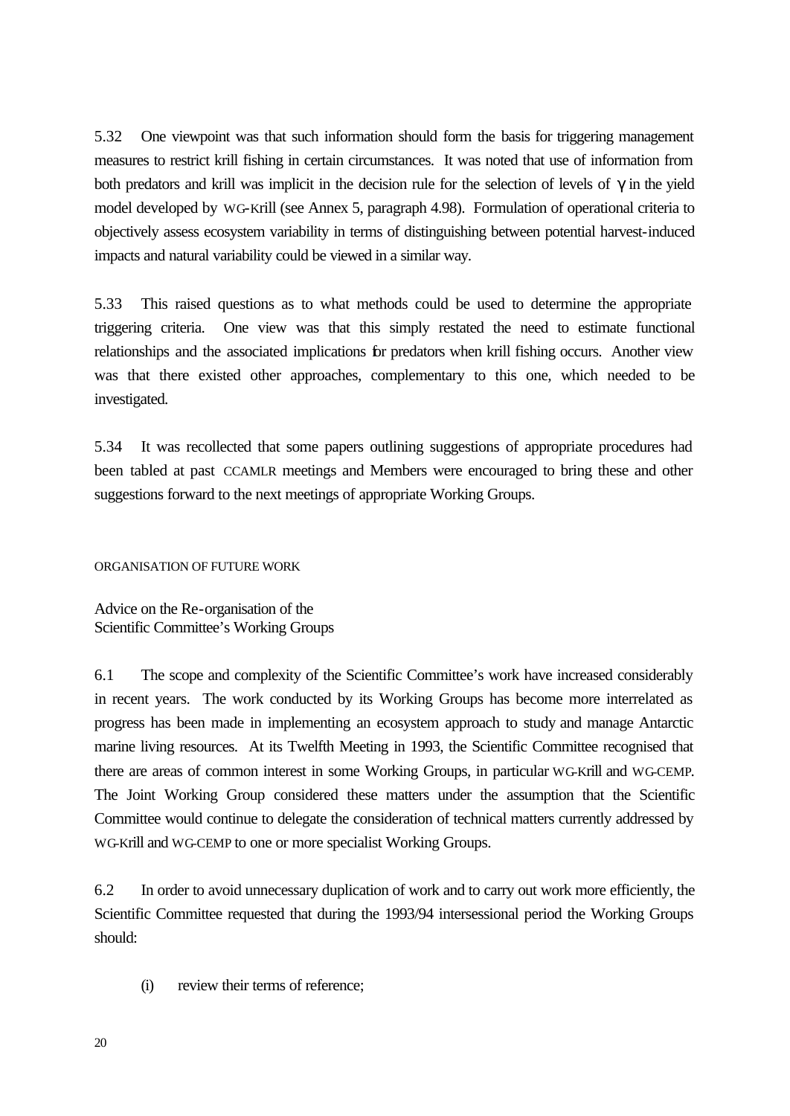5.32 One viewpoint was that such information should form the basis for triggering management measures to restrict krill fishing in certain circumstances. It was noted that use of information from both predators and krill was implicit in the decision rule for the selection of levels of  $\gamma$  in the yield model developed by WG-Krill (see Annex 5, paragraph 4.98). Formulation of operational criteria to objectively assess ecosystem variability in terms of distinguishing between potential harvest-induced impacts and natural variability could be viewed in a similar way.

5.33 This raised questions as to what methods could be used to determine the appropriate triggering criteria. One view was that this simply restated the need to estimate functional relationships and the associated implications for predators when krill fishing occurs. Another view was that there existed other approaches, complementary to this one, which needed to be investigated.

5.34 It was recollected that some papers outlining suggestions of appropriate procedures had been tabled at past CCAMLR meetings and Members were encouraged to bring these and other suggestions forward to the next meetings of appropriate Working Groups.

## ORGANISATION OF FUTURE WORK

Advice on the Re-organisation of the Scientific Committee's Working Groups

6.1 The scope and complexity of the Scientific Committee's work have increased considerably in recent years. The work conducted by its Working Groups has become more interrelated as progress has been made in implementing an ecosystem approach to study and manage Antarctic marine living resources. At its Twelfth Meeting in 1993, the Scientific Committee recognised that there are areas of common interest in some Working Groups, in particular WG-Krill and WG-CEMP. The Joint Working Group considered these matters under the assumption that the Scientific Committee would continue to delegate the consideration of technical matters currently addressed by WG-Krill and WG-CEMP to one or more specialist Working Groups.

6.2 In order to avoid unnecessary duplication of work and to carry out work more efficiently, the Scientific Committee requested that during the 1993/94 intersessional period the Working Groups should:

(i) review their terms of reference;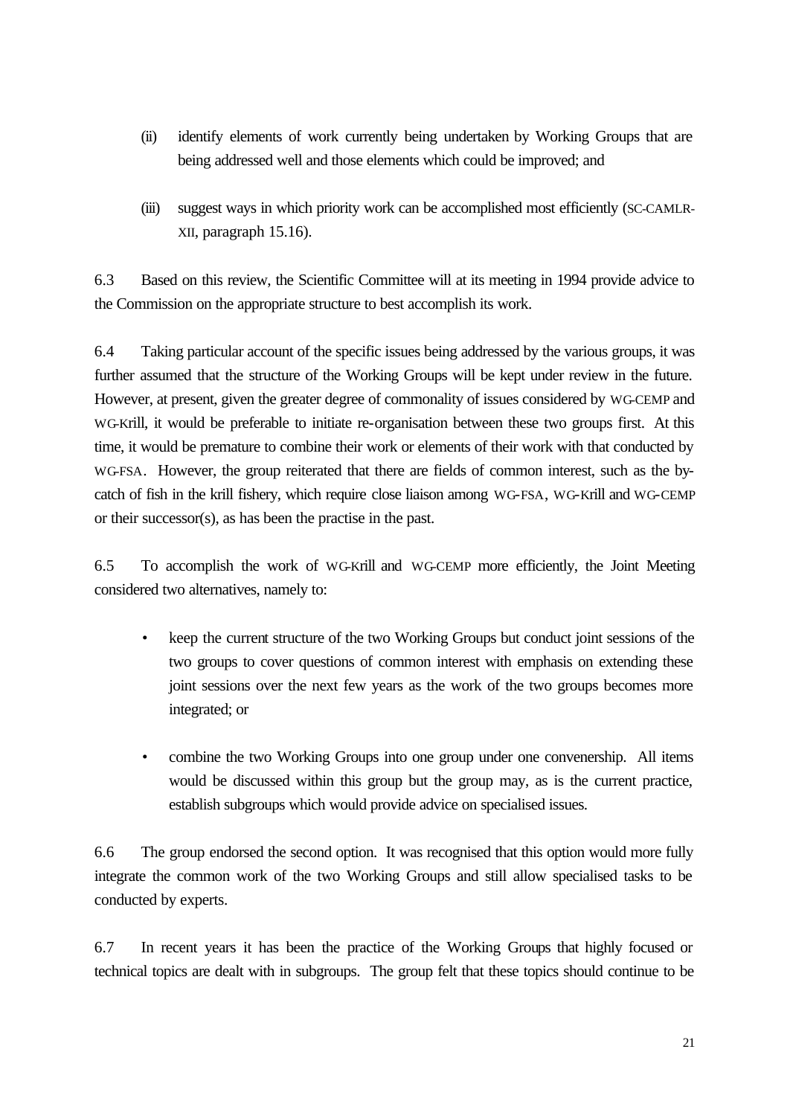- (ii) identify elements of work currently being undertaken by Working Groups that are being addressed well and those elements which could be improved; and
- (iii) suggest ways in which priority work can be accomplished most efficiently (SC-CAMLR-XII, paragraph 15.16).

6.3 Based on this review, the Scientific Committee will at its meeting in 1994 provide advice to the Commission on the appropriate structure to best accomplish its work.

6.4 Taking particular account of the specific issues being addressed by the various groups, it was further assumed that the structure of the Working Groups will be kept under review in the future. However, at present, given the greater degree of commonality of issues considered by WG-CEMP and WG-Krill, it would be preferable to initiate re-organisation between these two groups first. At this time, it would be premature to combine their work or elements of their work with that conducted by WG-FSA. However, the group reiterated that there are fields of common interest, such as the bycatch of fish in the krill fishery, which require close liaison among WG-FSA, WG-Krill and WG-CEMP or their successor(s), as has been the practise in the past.

6.5 To accomplish the work of WG-Krill and WG-CEMP more efficiently, the Joint Meeting considered two alternatives, namely to:

- keep the current structure of the two Working Groups but conduct joint sessions of the two groups to cover questions of common interest with emphasis on extending these joint sessions over the next few years as the work of the two groups becomes more integrated; or
- combine the two Working Groups into one group under one convenership. All items would be discussed within this group but the group may, as is the current practice, establish subgroups which would provide advice on specialised issues.

6.6 The group endorsed the second option. It was recognised that this option would more fully integrate the common work of the two Working Groups and still allow specialised tasks to be conducted by experts.

6.7 In recent years it has been the practice of the Working Groups that highly focused or technical topics are dealt with in subgroups. The group felt that these topics should continue to be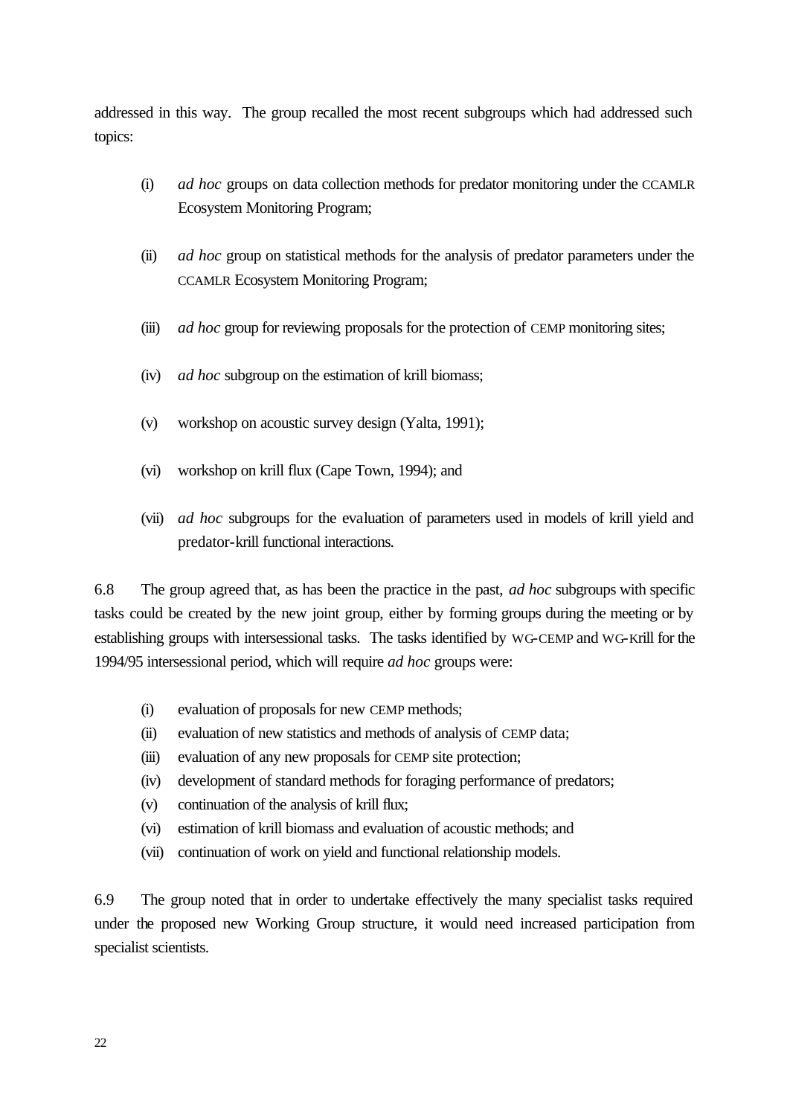addressed in this way. The group recalled the most recent subgroups which had addressed such topics:

- (i) *ad hoc* groups on data collection methods for predator monitoring under the CCAMLR Ecosystem Monitoring Program;
- (ii) *ad hoc* group on statistical methods for the analysis of predator parameters under the CCAMLR Ecosystem Monitoring Program;
- (iii) *ad hoc* group for reviewing proposals for the protection of CEMP monitoring sites;
- (iv) *ad hoc* subgroup on the estimation of krill biomass;
- (v) workshop on acoustic survey design (Yalta, 1991);
- (vi) workshop on krill flux (Cape Town, 1994); and
- (vii) *ad hoc* subgroups for the evaluation of parameters used in models of krill yield and predator-krill functional interactions.

6.8 The group agreed that, as has been the practice in the past, *ad hoc* subgroups with specific tasks could be created by the new joint group, either by forming groups during the meeting or by establishing groups with intersessional tasks. The tasks identified by WG-CEMP and WG-Krill for the 1994/95 intersessional period, which will require *ad hoc* groups were:

- (i) evaluation of proposals for new CEMP methods;
- (ii) evaluation of new statistics and methods of analysis of CEMP data;
- (iii) evaluation of any new proposals for CEMP site protection;
- (iv) development of standard methods for foraging performance of predators;
- (v) continuation of the analysis of krill flux;
- (vi) estimation of krill biomass and evaluation of acoustic methods; and
- (vii) continuation of work on yield and functional relationship models.

6.9 The group noted that in order to undertake effectively the many specialist tasks required under the proposed new Working Group structure, it would need increased participation from specialist scientists.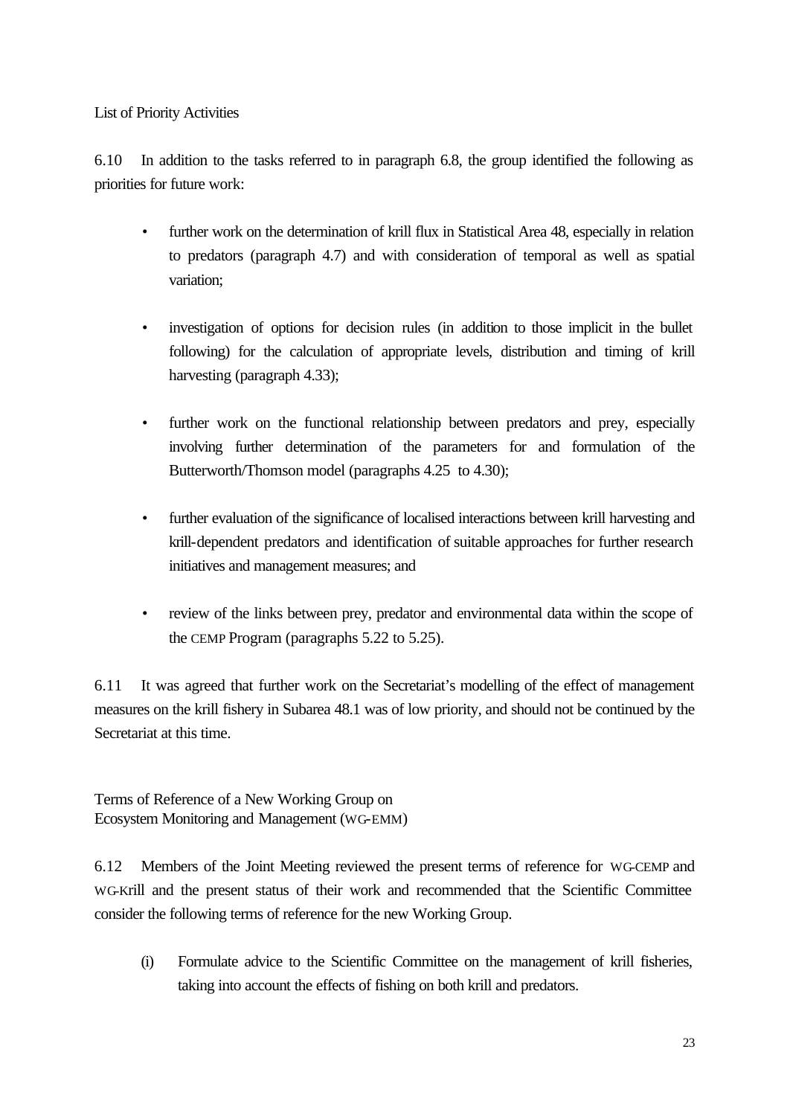List of Priority Activities

6.10 In addition to the tasks referred to in paragraph 6.8, the group identified the following as priorities for future work:

- further work on the determination of krill flux in Statistical Area 48, especially in relation to predators (paragraph 4.7) and with consideration of temporal as well as spatial variation;
- investigation of options for decision rules (in addition to those implicit in the bullet following) for the calculation of appropriate levels, distribution and timing of krill harvesting (paragraph 4.33);
- further work on the functional relationship between predators and prey, especially involving further determination of the parameters for and formulation of the Butterworth/Thomson model (paragraphs 4.25 to 4.30);
- further evaluation of the significance of localised interactions between krill harvesting and krill-dependent predators and identification of suitable approaches for further research initiatives and management measures; and
- review of the links between prey, predator and environmental data within the scope of the CEMP Program (paragraphs 5.22 to 5.25).

6.11 It was agreed that further work on the Secretariat's modelling of the effect of management measures on the krill fishery in Subarea 48.1 was of low priority, and should not be continued by the Secretariat at this time.

Terms of Reference of a New Working Group on Ecosystem Monitoring and Management (WG-EMM)

6.12 Members of the Joint Meeting reviewed the present terms of reference for WG-CEMP and WG-Krill and the present status of their work and recommended that the Scientific Committee consider the following terms of reference for the new Working Group.

(i) Formulate advice to the Scientific Committee on the management of krill fisheries, taking into account the effects of fishing on both krill and predators.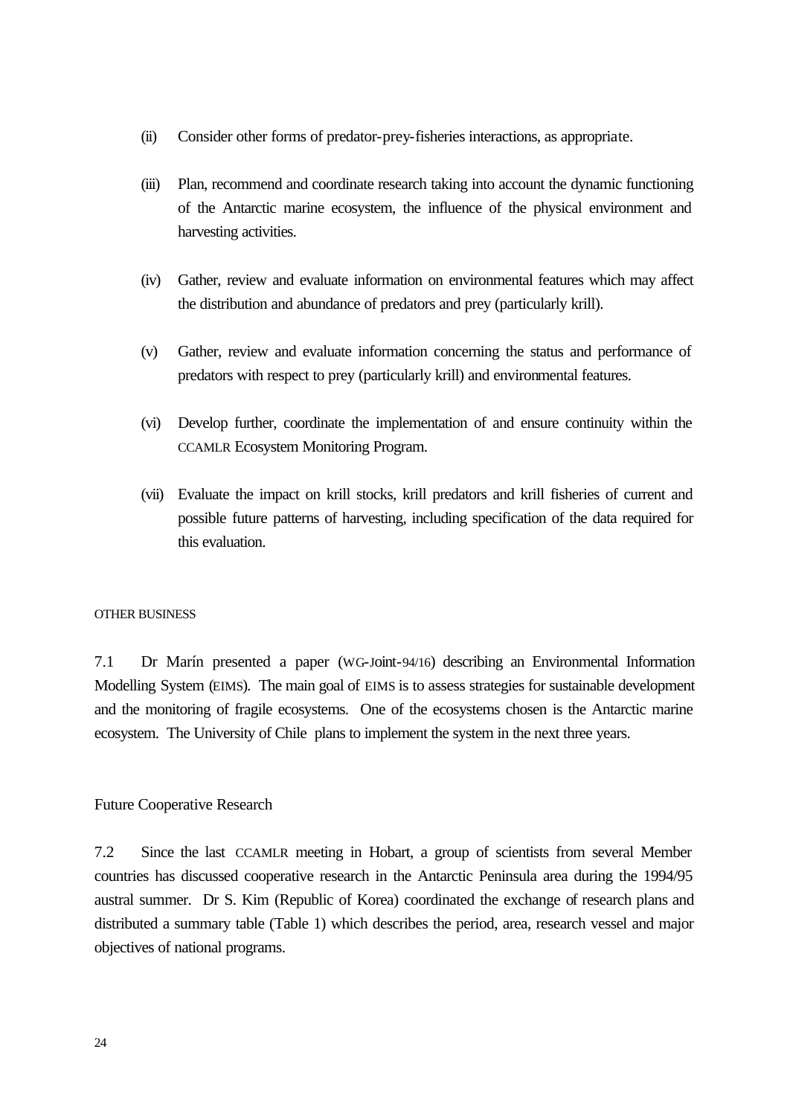- (ii) Consider other forms of predator-prey-fisheries interactions, as appropriate.
- (iii) Plan, recommend and coordinate research taking into account the dynamic functioning of the Antarctic marine ecosystem, the influence of the physical environment and harvesting activities.
- (iv) Gather, review and evaluate information on environmental features which may affect the distribution and abundance of predators and prey (particularly krill).
- (v) Gather, review and evaluate information concerning the status and performance of predators with respect to prey (particularly krill) and environmental features.
- (vi) Develop further, coordinate the implementation of and ensure continuity within the CCAMLR Ecosystem Monitoring Program.
- (vii) Evaluate the impact on krill stocks, krill predators and krill fisheries of current and possible future patterns of harvesting, including specification of the data required for this evaluation.

## OTHER BUSINESS

7.1 Dr Marín presented a paper (WG-Joint-94/16) describing an Environmental Information Modelling System (EIMS). The main goal of EIMS is to assess strategies for sustainable development and the monitoring of fragile ecosystems. One of the ecosystems chosen is the Antarctic marine ecosystem. The University of Chile plans to implement the system in the next three years.

## Future Cooperative Research

7.2 Since the last CCAMLR meeting in Hobart, a group of scientists from several Member countries has discussed cooperative research in the Antarctic Peninsula area during the 1994/95 austral summer. Dr S. Kim (Republic of Korea) coordinated the exchange of research plans and distributed a summary table (Table 1) which describes the period, area, research vessel and major objectives of national programs.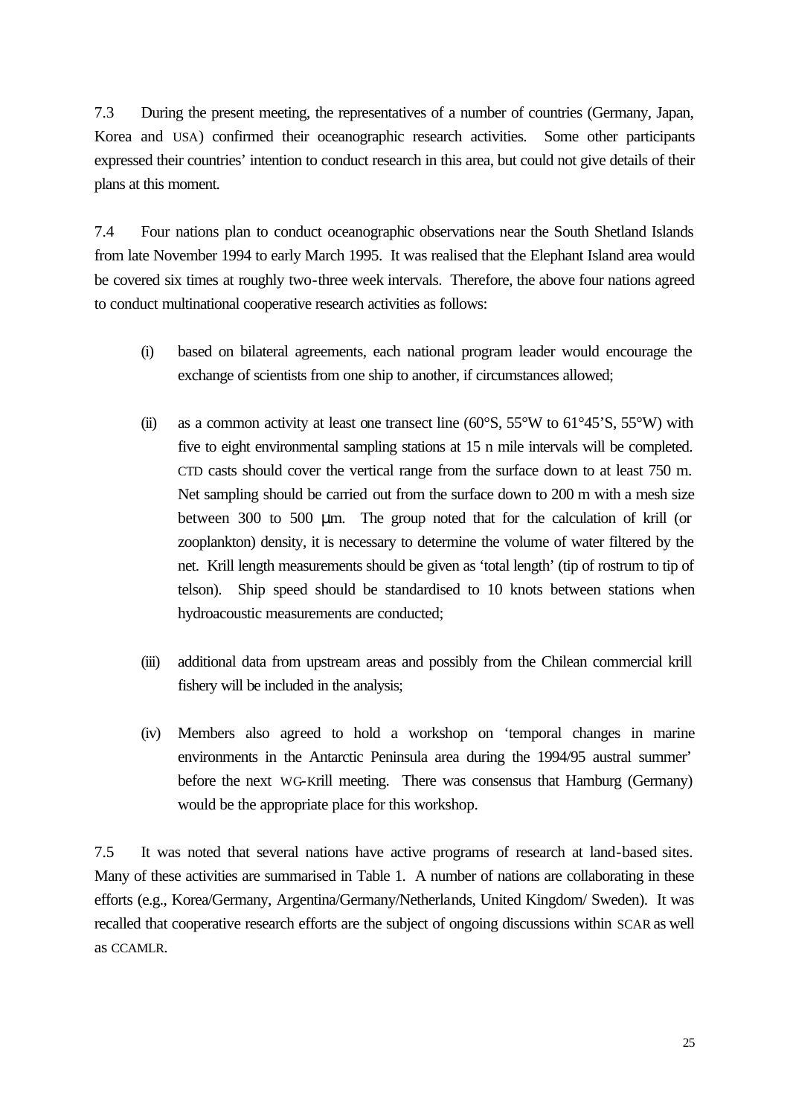7.3 During the present meeting, the representatives of a number of countries (Germany, Japan, Korea and USA) confirmed their oceanographic research activities. Some other participants expressed their countries' intention to conduct research in this area, but could not give details of their plans at this moment.

7.4 Four nations plan to conduct oceanographic observations near the South Shetland Islands from late November 1994 to early March 1995. It was realised that the Elephant Island area would be covered six times at roughly two-three week intervals. Therefore, the above four nations agreed to conduct multinational cooperative research activities as follows:

- (i) based on bilateral agreements, each national program leader would encourage the exchange of scientists from one ship to another, if circumstances allowed;
- (ii) as a common activity at least one transect line  $(60^{\circ}S, 55^{\circ}W)$  to  $61^{\circ}45^{\circ}S, 55^{\circ}W)$  with five to eight environmental sampling stations at 15 n mile intervals will be completed. CTD casts should cover the vertical range from the surface down to at least 750 m. Net sampling should be carried out from the surface down to 200 m with a mesh size between 300 to 500 μm. The group noted that for the calculation of krill (or zooplankton) density, it is necessary to determine the volume of water filtered by the net. Krill length measurements should be given as 'total length' (tip of rostrum to tip of telson). Ship speed should be standardised to 10 knots between stations when hydroacoustic measurements are conducted;
- (iii) additional data from upstream areas and possibly from the Chilean commercial krill fishery will be included in the analysis;
- (iv) Members also agreed to hold a workshop on 'temporal changes in marine environments in the Antarctic Peninsula area during the 1994/95 austral summer' before the next WG-Krill meeting. There was consensus that Hamburg (Germany) would be the appropriate place for this workshop.

7.5 It was noted that several nations have active programs of research at land-based sites. Many of these activities are summarised in Table 1. A number of nations are collaborating in these efforts (e.g., Korea/Germany, Argentina/Germany/Netherlands, United Kingdom/ Sweden). It was recalled that cooperative research efforts are the subject of ongoing discussions within SCAR as well as CCAMLR.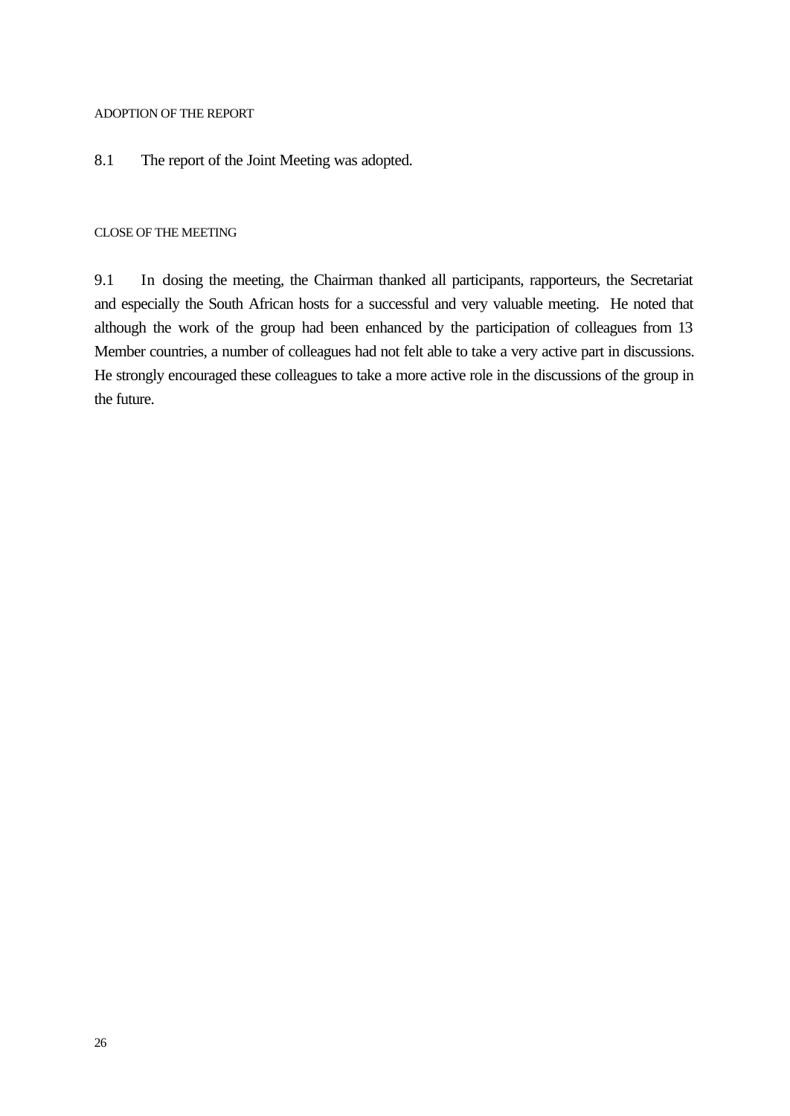## ADOPTION OF THE REPORT

## 8.1 The report of the Joint Meeting was adopted.

## CLOSE OF THE MEETING

9.1 In closing the meeting, the Chairman thanked all participants, rapporteurs, the Secretariat and especially the South African hosts for a successful and very valuable meeting. He noted that although the work of the group had been enhanced by the participation of colleagues from 13 Member countries, a number of colleagues had not felt able to take a very active part in discussions. He strongly encouraged these colleagues to take a more active role in the discussions of the group in the future.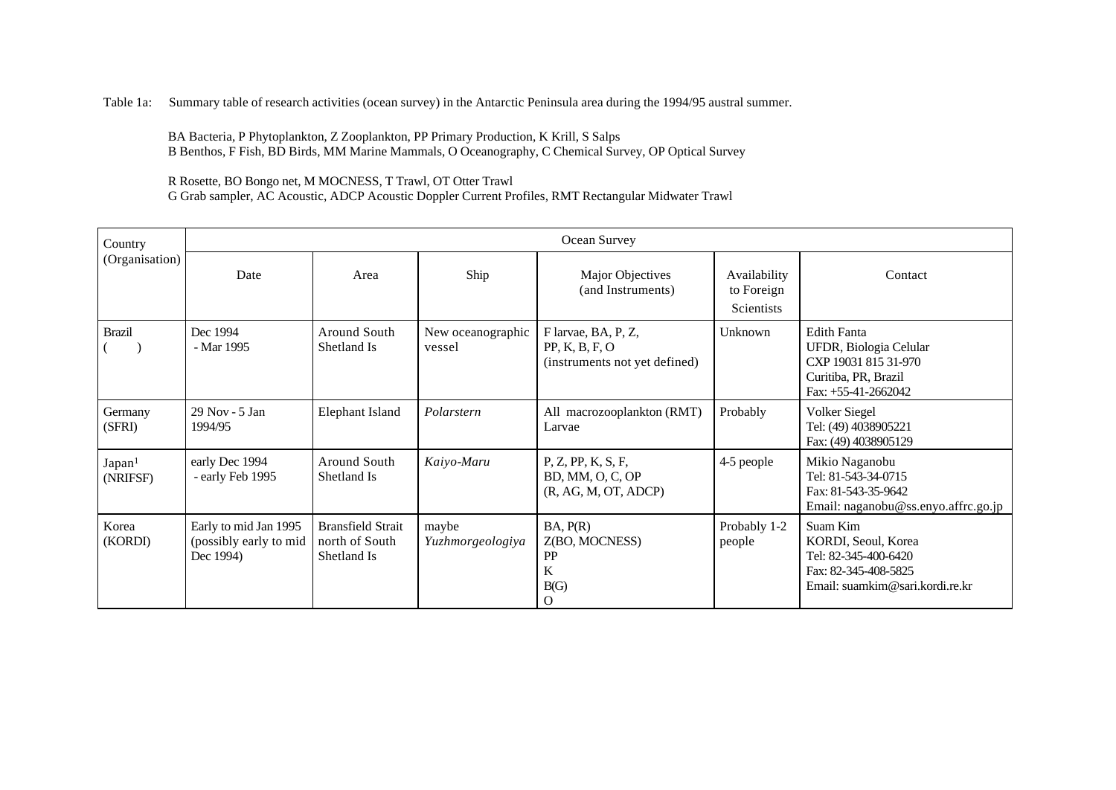Table 1a: Summary table of research activities (ocean survey) in the Antarctic Peninsula area during the 1994/95 austral summer.

BA Bacteria, P Phytoplankton, Z Zooplankton, PP Primary Production, K Krill, S Salps B Benthos, F Fish, BD Birds, MM Marine Mammals, O Oceanography, C Chemical Survey, OP Optical Survey

R Rosette, BO Bongo net, M MOCNESS, T Trawl, OT Otter Trawl

G Grab sampler, AC Acoustic, ADCP Acoustic Doppler Current Profiles, RMT Rectangular Midwater Trawl

| Country                        | Ocean Survey                                                 |                                                           |                             |                                                                        |                                                 |                                                                                                                       |
|--------------------------------|--------------------------------------------------------------|-----------------------------------------------------------|-----------------------------|------------------------------------------------------------------------|-------------------------------------------------|-----------------------------------------------------------------------------------------------------------------------|
| (Organisation)                 | Date                                                         | Area                                                      | Ship                        | Major Objectives<br>(and Instruments)                                  | Availability<br>to Foreign<br><b>Scientists</b> | Contact                                                                                                               |
| <b>Brazil</b>                  | Dec 1994<br>- Mar 1995                                       | Around South<br>Shetland Is                               | New oceanographic<br>vessel | F larvae, BA, P, Z,<br>PP, K, B, F, O<br>(instruments not yet defined) | Unknown                                         | <b>Edith Fanta</b><br>UFDR, Biologia Celular<br>CXP 19031 815 31-970<br>Curitiba, PR, Brazil<br>Fax: $+55-41-2662042$ |
| Germany<br>(SFRI)              | 29 Nov - 5 Jan<br>1994/95                                    | <b>Elephant Island</b>                                    | Polarstern                  | All macrozooplankton (RMT)<br>Larvae                                   | Probably                                        | Volker Siegel<br>Tel: (49) 4038905221<br>Fax: (49) 4038905129                                                         |
| Japan <sup>1</sup><br>(NRIFSF) | early Dec 1994<br>- early Feb 1995                           | Around South<br>Shetland Is                               | Kaiyo-Maru                  | P, Z, PP, K, S, F,<br>BD, MM, O, C, OP<br>(R, AG, M, OT, ADCP)         | 4-5 people                                      | Mikio Naganobu<br>Tel: 81-543-34-0715<br>Fax: 81-543-35-9642<br>Email: naganobu@ss.enyo.affrc.go.jp                   |
| Korea<br>(KORDI)               | Early to mid Jan 1995<br>(possibly early to mid<br>Dec 1994) | <b>Bransfield Strait</b><br>north of South<br>Shetland Is | maybe<br>Yuzhmorgeologiya   | BA, P(R)<br>Z(BO, MOCNESS)<br>PP<br>K<br>B(G)<br>$\Omega$              | Probably 1-2<br>people                          | Suam Kim<br>KORDI, Seoul, Korea<br>Tel: 82-345-400-6420<br>Fax: 82-345-408-5825<br>Email: suamkim@sari.kordi.re.kr    |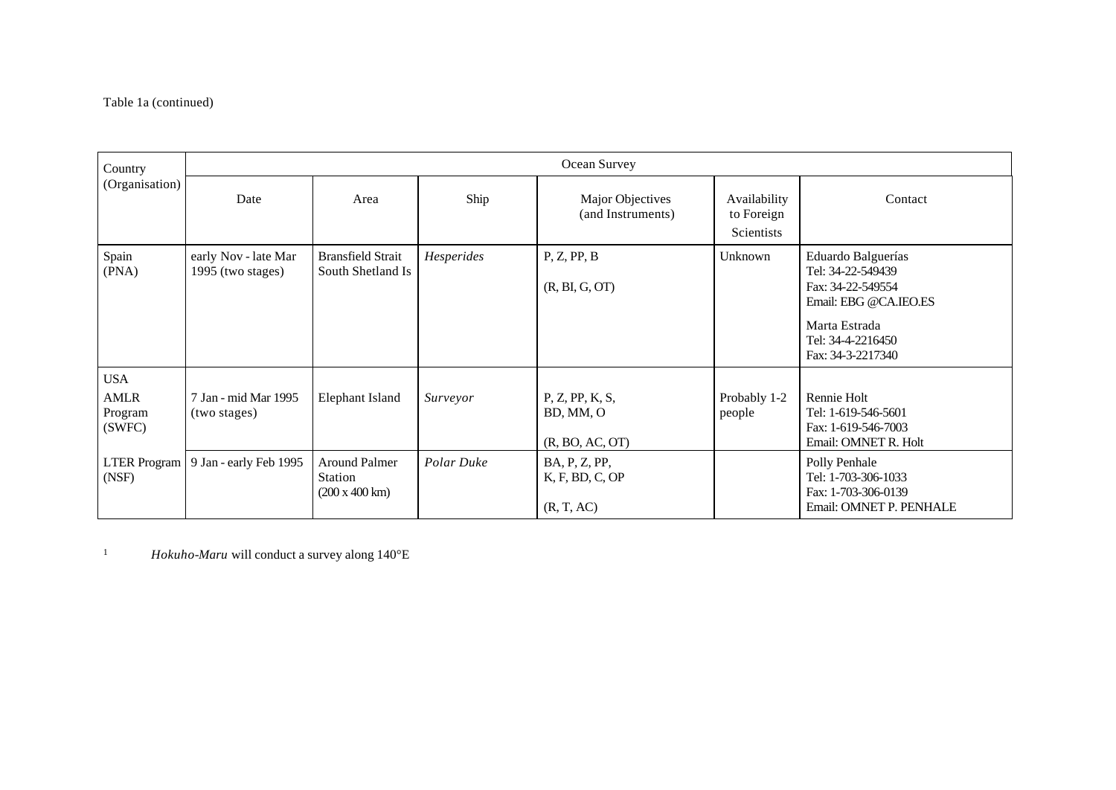## Table 1a (continued)

| Country                                        | Ocean Survey                              |                                                   |            |                                                 |                                          |                                                                                                                                                  |
|------------------------------------------------|-------------------------------------------|---------------------------------------------------|------------|-------------------------------------------------|------------------------------------------|--------------------------------------------------------------------------------------------------------------------------------------------------|
| (Organisation)                                 | Date                                      | Area                                              | Ship       | Major Objectives<br>(and Instruments)           | Availability<br>to Foreign<br>Scientists | Contact                                                                                                                                          |
| Spain<br>(PNA)                                 | early Nov - late Mar<br>1995 (two stages) | <b>Bransfield Strait</b><br>South Shetland Is     | Hesperides | P, Z, PP, B<br>(R, BI, G, OT)                   | Unknown                                  | Eduardo Balguerías<br>Tel: 34-22-549439<br>Fax: 34-22-549554<br>Email: EBG @CA.IEO.ES<br>Marta Estrada<br>Tel: 34-4-2216450<br>Fax: 34-3-2217340 |
| <b>USA</b><br><b>AMLR</b><br>Program<br>(SWFC) | 7 Jan - mid Mar 1995<br>(two stages)      | Elephant Island                                   | Surveyor   | P, Z, PP, K, S,<br>BD, MM, O<br>(R, BO, AC, OT) | Probably 1-2<br>people                   | Rennie Holt<br>Tel: 1-619-546-5601<br>Fax: 1-619-546-7003<br>Email: OMNET R. Holt                                                                |
| (NSF)                                          | LTER Program   9 Jan - early Feb 1995     | <b>Around Palmer</b><br>Station<br>(200 x 400 km) | Polar Duke | BA, P, Z, PP,<br>K, F, BD, C, OP<br>(R, T, AC)  |                                          | Polly Penhale<br>Tel: 1-703-306-1033<br>Fax: 1-703-306-0139<br>Email: OMNET P. PENHALE                                                           |

<sup>1</sup> *Hokuho-Maru* will conduct a survey along 140°E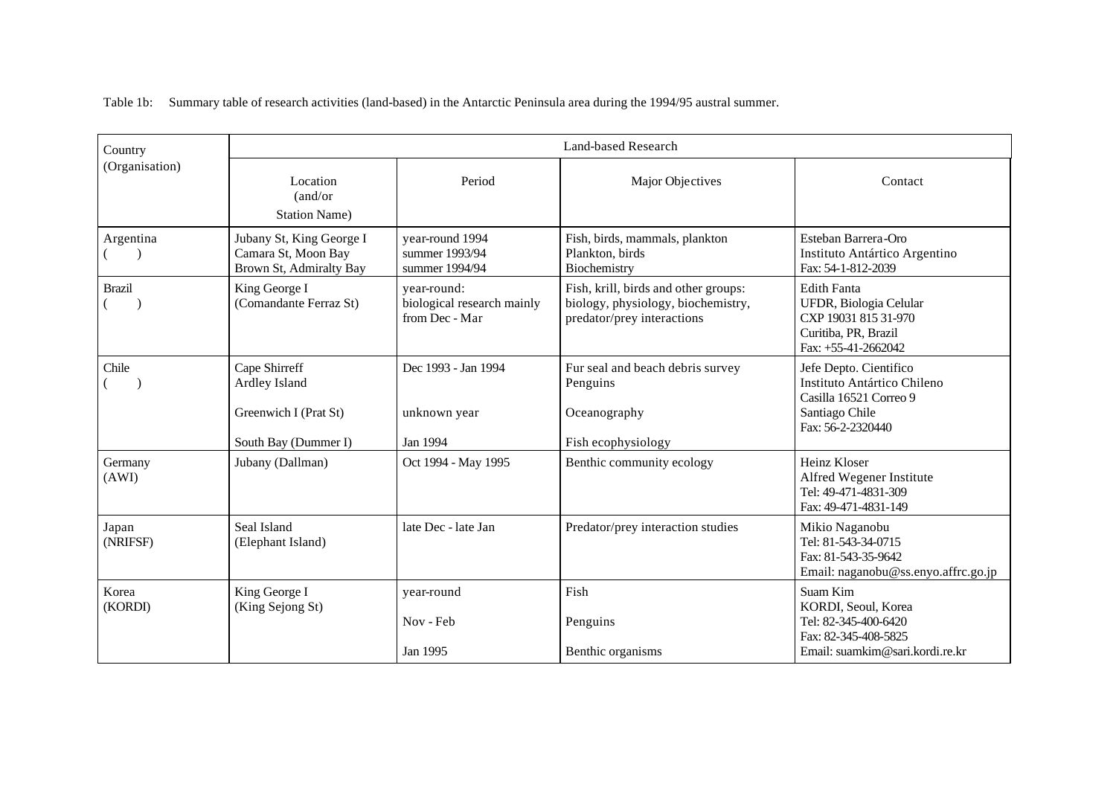Country Land-based Research (Organisation) Location **Period** Period Major Objectives Contact Contact (and/or Station Name) Argentina  $($   $)$ Jubany St, King George I Camara St, Moon Bay Brown St, Admiralty Bay year-round 1994 summer 1993/94 summer 1994/94 Fish, birds, mammals, plankton Plankton, birds Biochemistry Esteban Barrera-Oro Instituto Antártico Argentino Fax: 54-1-812-2039 Brazil  $($ King George I (Comandante Ferraz St) year-round: biological research mainly from Dec - Mar Fish, krill, birds and other groups: biology, physiology, biochemistry, predator/prey interactions Edith Fanta UFDR, Biologia Celular CXP 19031 815 31-970 Curitiba, PR, Brazil Fax: +55-41-2662042 Chile  $($ Cape Shirreff Ardley Island Greenwich I (Prat St) South Bay (Dummer I) Dec 1993 - Jan 1994 unknown year Jan 1994 Fur seal and beach debris survey Penguins **Oceanography** Fish ecophysiology Jefe Depto. Cientifico Instituto Antártico Chileno Casilla 16521 Correo 9 Santiago Chile Fax: 56-2-2320440 Germany (AWI) Jubany (Dallman) Oct 1994 - May 1995 Benthic community ecology Heinz Kloser Alfred Wegener Institute Tel: 49-471-4831-309 Fax: 49-471-4831-149 Japan (NRIFSF) Seal Island (Elephant Island) late Dec - late Jan Predator/prey interaction studies Mikio Naganobu Tel: 81-543-34-0715 Fax: 81-543-35-9642 Email: naganobu@ss.enyo.affrc.go.jp Korea (KORDI) King George I (King Sejong St) year-round Nov - Feb Jan 1995 Fish Penguins Benthic organisms Suam Kim KORDI, Seoul, Korea Tel: 82-345-400-6420 Fax: 82-345-408-5825 Email: suamkim@sari.kordi.re.kr

Table 1b: Summary table of research activities (land-based) in the Antarctic Peninsula area during the 1994/95 austral summer.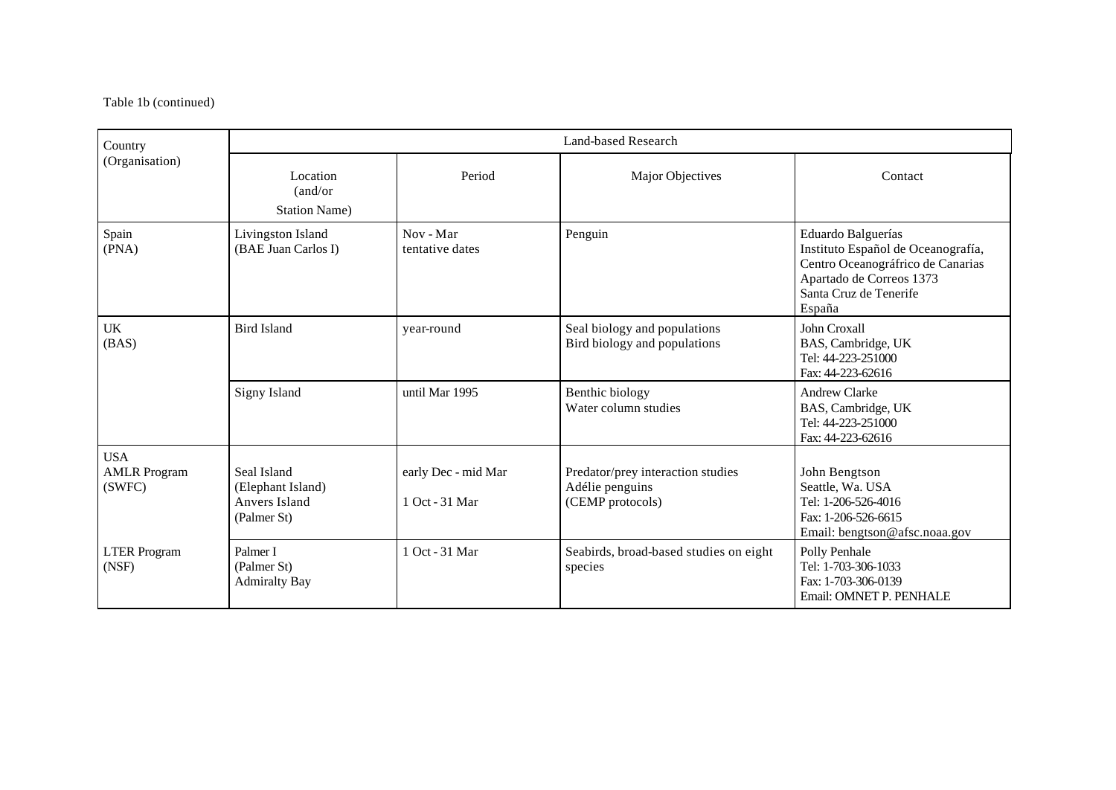## Table 1b (continued)

| Country                                     | Land-based Research                                              |                                       |                                                                          |                                                                                                                                                               |  |
|---------------------------------------------|------------------------------------------------------------------|---------------------------------------|--------------------------------------------------------------------------|---------------------------------------------------------------------------------------------------------------------------------------------------------------|--|
| (Organisation)                              | Location<br>(and/or<br><b>Station Name)</b>                      | Period                                | Major Objectives                                                         | Contact                                                                                                                                                       |  |
| Spain<br>(PNA)                              | Livingston Island<br>(BAE Juan Carlos I)                         | Nov - Mar<br>tentative dates          | Penguin                                                                  | Eduardo Balguerías<br>Instituto Español de Oceanografía,<br>Centro Oceanográfrico de Canarias<br>Apartado de Correos 1373<br>Santa Cruz de Tenerife<br>España |  |
| UK<br>(BAS)                                 | <b>Bird Island</b>                                               | vear-round                            | Seal biology and populations<br>Bird biology and populations             | John Croxall<br>BAS, Cambridge, UK<br>Tel: 44-223-251000<br>Fax: 44-223-62616                                                                                 |  |
|                                             | Signy Island                                                     | until Mar 1995                        | Benthic biology<br>Water column studies                                  | <b>Andrew Clarke</b><br>BAS, Cambridge, UK<br>Tel: 44-223-251000<br>Fax: 44-223-62616                                                                         |  |
| <b>USA</b><br><b>AMLR Program</b><br>(SWFC) | Seal Island<br>(Elephant Island)<br>Anvers Island<br>(Palmer St) | early Dec - mid Mar<br>1 Oct - 31 Mar | Predator/prey interaction studies<br>Adélie penguins<br>(CEMP protocols) | John Bengtson<br>Seattle, Wa. USA<br>Tel: 1-206-526-4016<br>Fax: 1-206-526-6615<br>Email: bengtson@afsc.noaa.gov                                              |  |
| <b>LTER</b> Program<br>(NSF)                | Palmer I<br>(Palmer St)<br><b>Admiralty Bay</b>                  | 1 Oct - 31 Mar                        | Seabirds, broad-based studies on eight<br>species                        | Polly Penhale<br>Tel: 1-703-306-1033<br>Fax: 1-703-306-0139<br>Email: OMNET P. PENHALE                                                                        |  |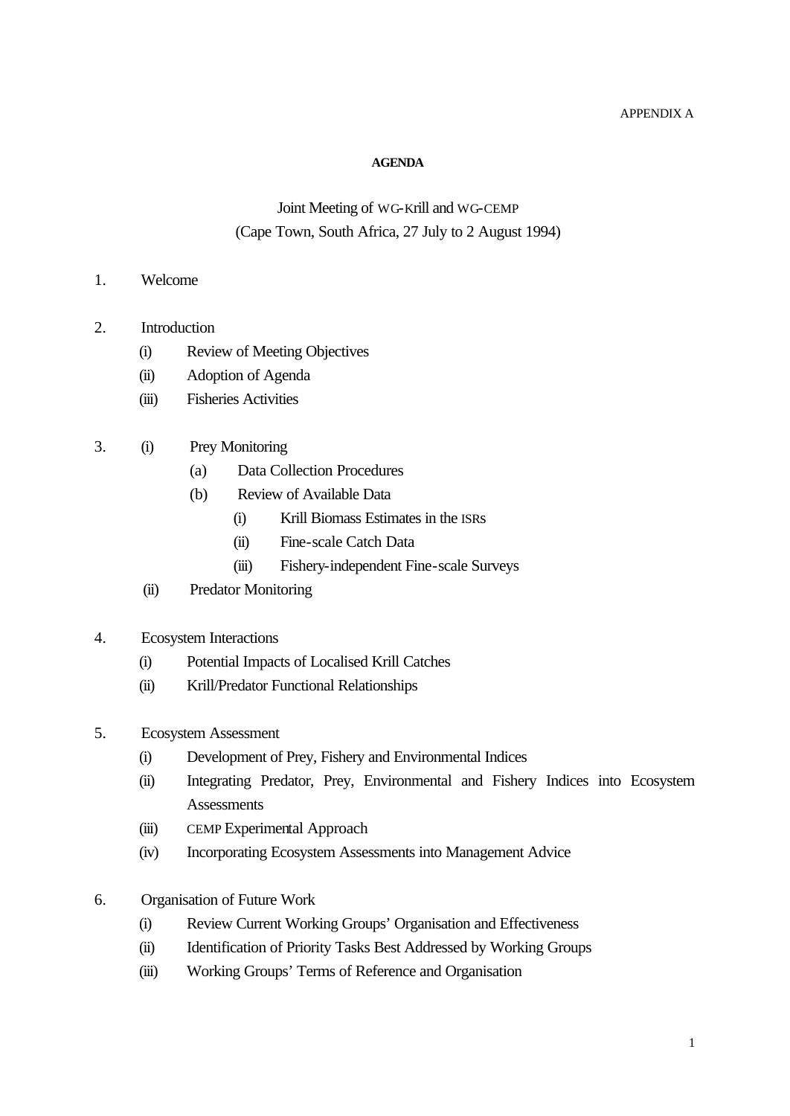### APPENDIX A

#### **AGENDA**

## Joint Meeting of WG-Krill and WG-CEMP (Cape Town, South Africa, 27 July to 2 August 1994)

- 1. Welcome
- 2. Introduction
	- (i) Review of Meeting Objectives
	- (ii) Adoption of Agenda
	- (iii) Fisheries Activities
- 3. (i) Prey Monitoring
	- (a) Data Collection Procedures
	- (b) Review of Available Data
		- (i) Krill Biomass Estimates in the ISRs
		- (ii) Fine-scale Catch Data
		- (iii) Fishery-independent Fine-scale Surveys
	- (ii) Predator Monitoring
- 4. Ecosystem Interactions
	- (i) Potential Impacts of Localised Krill Catches
	- (ii) Krill/Predator Functional Relationships
- 5. Ecosystem Assessment
	- (i) Development of Prey, Fishery and Environmental Indices
	- (ii) Integrating Predator, Prey, Environmental and Fishery Indices into Ecosystem **Assessments**
	- (iii) CEMP Experimental Approach
	- (iv) Incorporating Ecosystem Assessments into Management Advice
- 6. Organisation of Future Work
	- (i) Review Current Working Groups' Organisation and Effectiveness
	- (ii) Identification of Priority Tasks Best Addressed by Working Groups
	- (iii) Working Groups' Terms of Reference and Organisation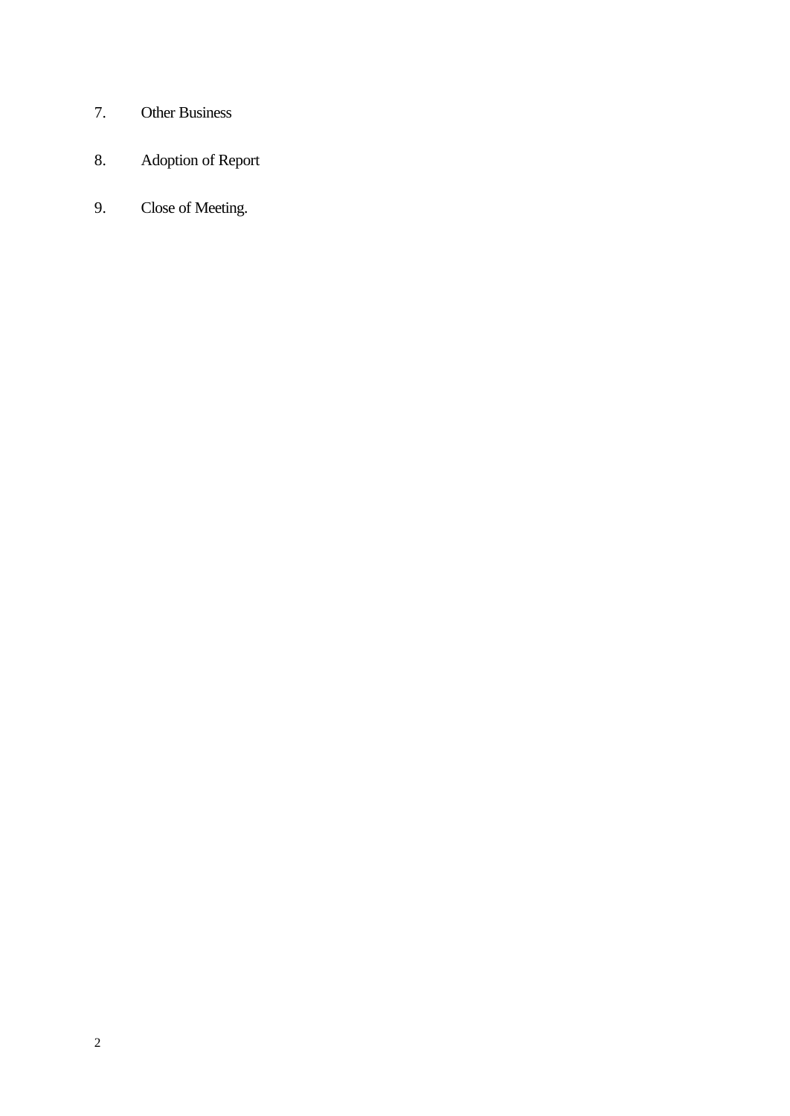- 7. Other Business
- 8. Adoption of Report
- 9. Close of Meeting.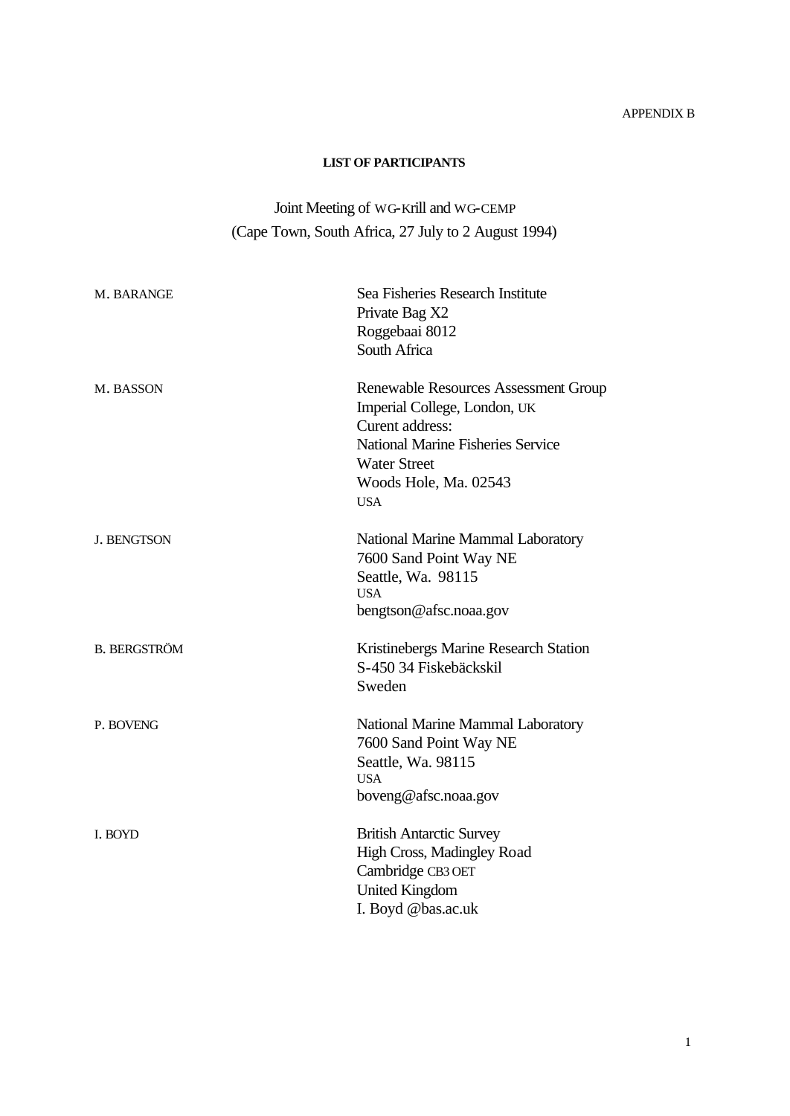## APPENDIX B

## **LIST OF PARTICIPANTS**

# Joint Meeting of WG-Krill and WG-CEMP (Cape Town, South Africa, 27 July to 2 August 1994)

| M. BARANGE          | Sea Fisheries Research Institute<br>Private Bag X2<br>Roggebaai 8012<br>South Africa                                                                                                                     |
|---------------------|----------------------------------------------------------------------------------------------------------------------------------------------------------------------------------------------------------|
| M. BASSON           | <b>Renewable Resources Assessment Group</b><br>Imperial College, London, UK<br>Curent address:<br><b>National Marine Fisheries Service</b><br><b>Water Street</b><br>Woods Hole, Ma. 02543<br><b>USA</b> |
| <b>J. BENGTSON</b>  | National Marine Mammal Laboratory<br>7600 Sand Point Way NE<br>Seattle, Wa. 98115<br><b>USA</b><br>bengtson@afsc.noaa.gov                                                                                |
| <b>B. BERGSTRÖM</b> | Kristinebergs Marine Research Station<br>S-450 34 Fiskebäckskil<br>Sweden                                                                                                                                |
| P. BOVENG           | National Marine Mammal Laboratory<br>7600 Sand Point Way NE<br>Seattle, Wa. 98115<br><b>USA</b><br>boveng@afsc.noaa.gov                                                                                  |
| I. BOYD             | <b>British Antarctic Survey</b><br>High Cross, Madingley Road<br>Cambridge CB3 OET<br><b>United Kingdom</b><br>I. Boyd @bas.ac.uk                                                                        |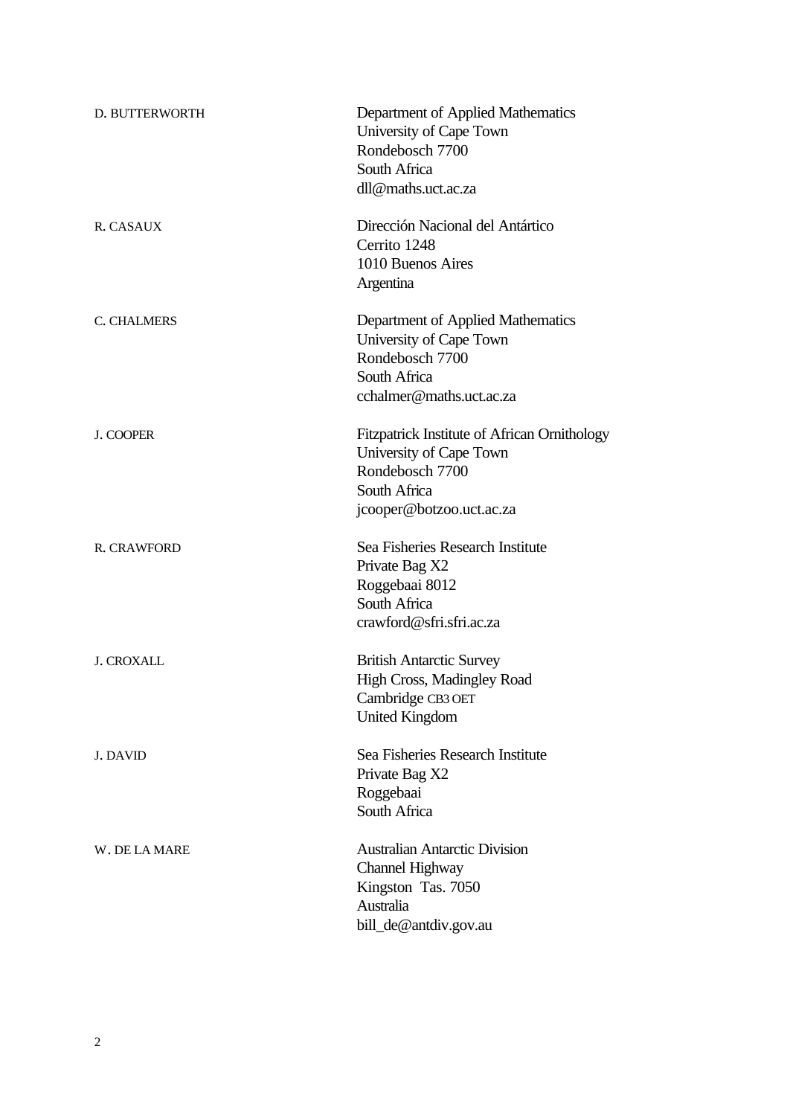| D. BUTTERWORTH     | Department of Applied Mathematics<br>University of Cape Town<br>Rondebosch 7700<br>South Africa<br>dll@maths.uct.ac.za                 |
|--------------------|----------------------------------------------------------------------------------------------------------------------------------------|
| R. CASAUX          | Dirección Nacional del Antártico<br>Cerrito 1248<br>1010 Buenos Aires<br>Argentina                                                     |
| C. CHALMERS        | Department of Applied Mathematics<br>University of Cape Town<br>Rondebosch 7700<br>South Africa<br>cchalmer@maths.uct.ac.za            |
| J. COOPER          | Fitzpatrick Institute of African Ornithology<br>University of Cape Town<br>Rondebosch 7700<br>South Africa<br>jcooper@botzoo.uct.ac.za |
| <b>R. CRAWFORD</b> | Sea Fisheries Research Institute<br>Private Bag X2<br>Roggebaai 8012<br>South Africa<br>crawford@sfri.sfri.ac.za                       |
| <b>J. CROXALL</b>  | <b>British Antarctic Survey</b><br><b>High Cross, Madingley Road</b><br>Cambridge CB3 OET<br><b>United Kingdom</b>                     |
| J. DAVID           | Sea Fisheries Research Institute<br>Private Bag X2<br>Roggebaai<br>South Africa                                                        |
| W. DE LA MARE      | <b>Australian Antarctic Division</b><br>Channel Highway<br>Kingston Tas. 7050<br>Australia<br>bill_de@antdiv.gov.au                    |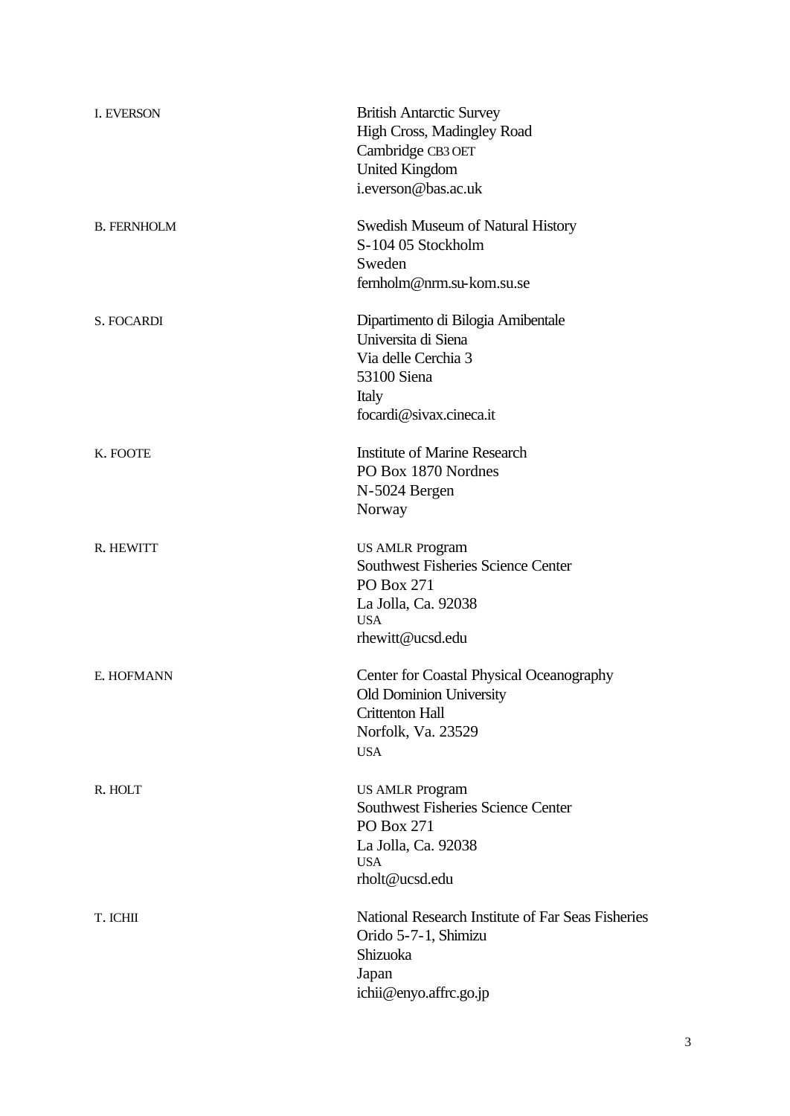| <b>I. EVERSON</b>  | <b>British Antarctic Survey</b><br>High Cross, Madingley Road<br>Cambridge CB3 OET<br><b>United Kingdom</b><br>i.everson@bas.ac.uk         |
|--------------------|--------------------------------------------------------------------------------------------------------------------------------------------|
| <b>B. FERNHOLM</b> | <b>Swedish Museum of Natural History</b><br>S-104 05 Stockholm<br>Sweden<br>fernholm@nrm.su-kom.su.se                                      |
| S. FOCARDI         | Dipartimento di Bilogia Amibentale<br>Universita di Siena<br>Via delle Cerchia 3<br>53100 Siena<br>Italy<br>focardi@sivax.cineca.it        |
| K. FOOTE           | <b>Institute of Marine Research</b><br>PO Box 1870 Nordnes<br>N-5024 Bergen<br>Norway                                                      |
| R. HEWITT          | <b>US AMLR Program</b><br><b>Southwest Fisheries Science Center</b><br>PO Box 271<br>La Jolla, Ca. 92038<br><b>USA</b><br>rhewitt@ucsd.edu |
| E. HOFMANN         | <b>Center for Coastal Physical Oceanography</b><br>Old Dominion University<br><b>Crittenton Hall</b><br>Norfolk, Va. 23529<br><b>USA</b>   |
| R. HOLT            | <b>US AMLR Program</b><br><b>Southwest Fisheries Science Center</b><br>PO Box 271<br>La Jolla, Ca. 92038<br><b>USA</b><br>rholt@ucsd.edu   |
| T. ICHII           | National Research Institute of Far Seas Fisheries<br>Orido 5-7-1, Shimizu<br>Shizuoka<br>Japan<br>ichii@enyo.affrc.go.jp                   |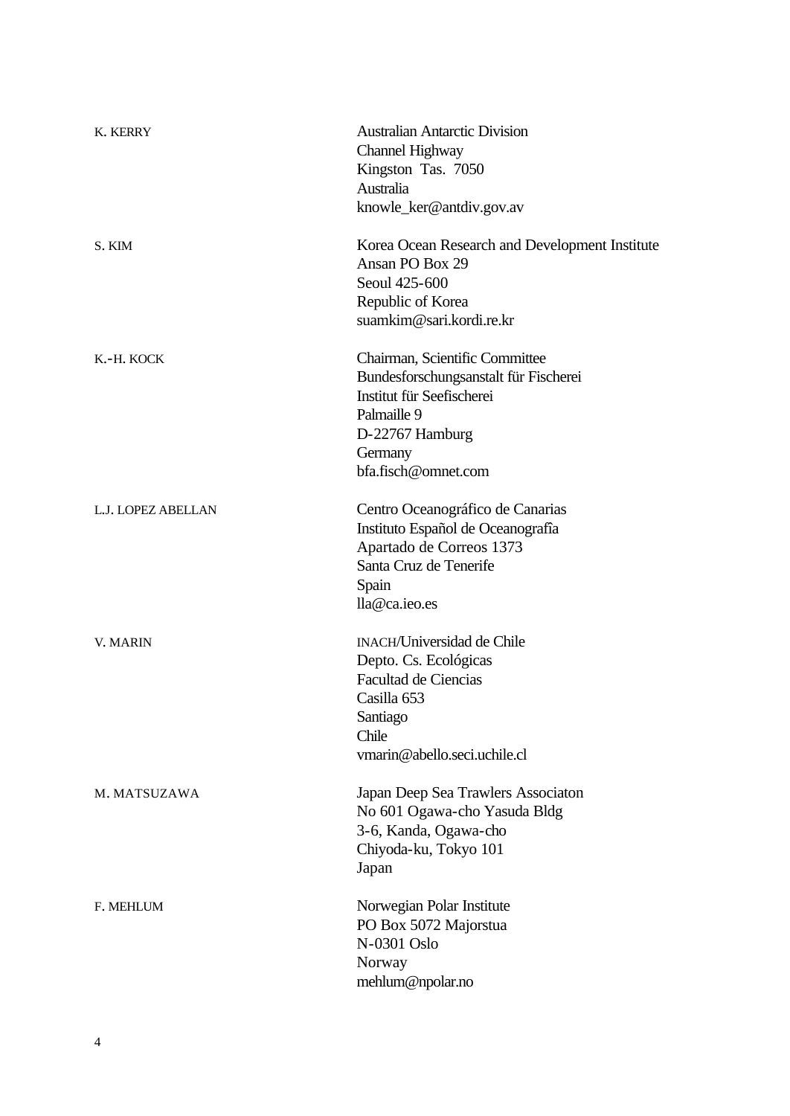| K. KERRY           | <b>Australian Antarctic Division</b><br>Channel Highway<br>Kingston Tas. 7050<br>Australia<br>knowle_ker@antdiv.gov.av                                                   |
|--------------------|--------------------------------------------------------------------------------------------------------------------------------------------------------------------------|
| S. KIM             | Korea Ocean Research and Development Institute<br>Ansan PO Box 29<br>Seoul 425-600<br>Republic of Korea<br>suamkim@sari.kordi.re.kr                                      |
| K.-H. KOCK         | Chairman, Scientific Committee<br>Bundesforschungsanstalt für Fischerei<br>Institut für Seefischerei<br>Palmaille 9<br>D-22767 Hamburg<br>Germany<br>bfa.fisch@omnet.com |
| L.J. LOPEZ ABELLAN | Centro Oceanográfico de Canarias<br>Instituto Español de Oceanografía<br>Apartado de Correos 1373<br>Santa Cruz de Tenerife<br>Spain<br>lla@ca.ieo.es                    |
| V. MARIN           | <b>INACH/Universidad de Chile</b><br>Depto. Cs. Ecológicas<br><b>Facultad de Ciencias</b><br>Casilla 653<br>Santiago<br>Chile<br>vmarin@abello.seci.uchile.cl            |
| M. MATSUZAWA       | Japan Deep Sea Trawlers Associaton<br>No 601 Ogawa-cho Yasuda Bldg<br>3-6, Kanda, Ogawa-cho<br>Chiyoda-ku, Tokyo 101<br>Japan                                            |
| <b>F. MEHLUM</b>   | Norwegian Polar Institute<br>PO Box 5072 Majorstua<br>N-0301 Oslo<br>Norway<br>mehlum@npolar.no                                                                          |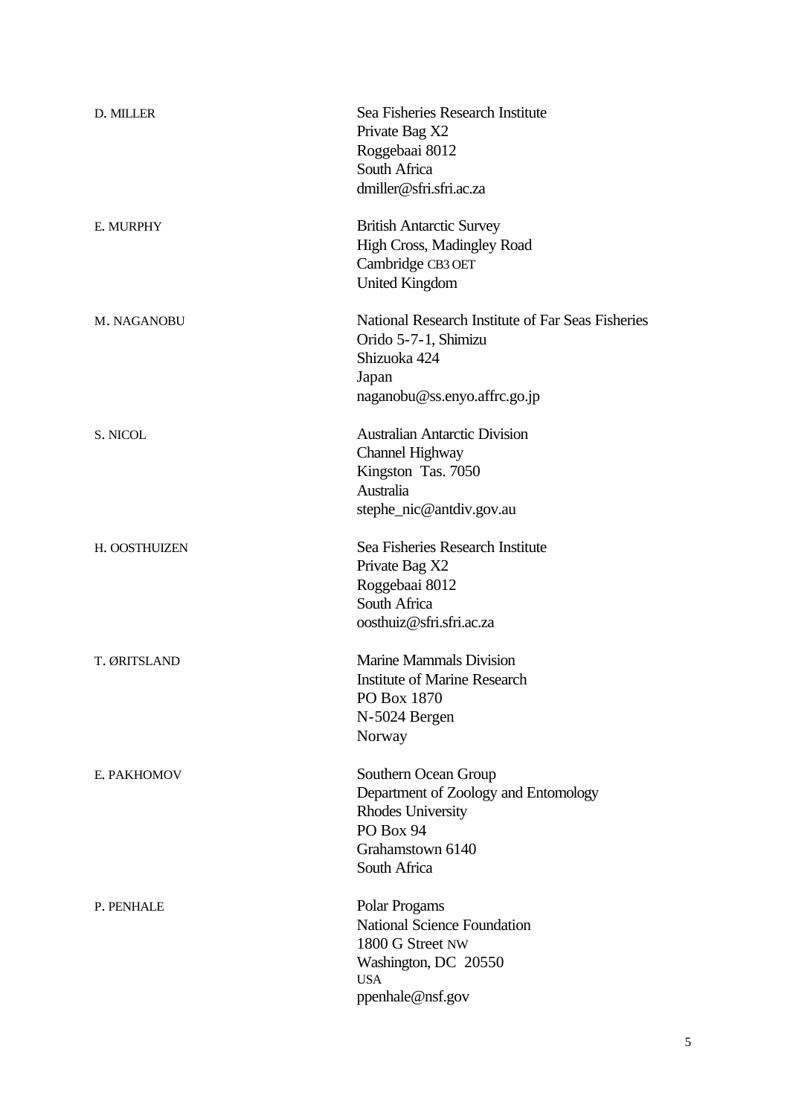| D. MILLER     | Sea Fisheries Research Institute<br>Private Bag X2<br>Roggebaai 8012<br>South Africa<br>dmiller@sfri.sfri.ac.za                           |
|---------------|-------------------------------------------------------------------------------------------------------------------------------------------|
| E. MURPHY     | <b>British Antarctic Survey</b><br><b>High Cross, Madingley Road</b><br>Cambridge CB3 OET<br><b>United Kingdom</b>                        |
| M. NAGANOBU   | National Research Institute of Far Seas Fisheries<br>Orido 5-7-1, Shimizu<br>Shizuoka 424<br>Japan<br>naganobu@ss.enyo.affrc.go.jp        |
| S. NICOL      | <b>Australian Antarctic Division</b><br>Channel Highway<br>Kingston Tas. 7050<br>Australia<br>stephe_nic@antdiv.gov.au                    |
| H. OOSTHUIZEN | Sea Fisheries Research Institute<br>Private Bag X2<br>Roggebaai 8012<br>South Africa<br>oosthuiz@sfri.sfri.ac.za                          |
| T. ØRITSLAND  | <b>Marine Mammals Division</b><br><b>Institute of Marine Research</b><br>PO Box 1870<br>N-5024 Bergen<br>Norway                           |
| E. PAKHOMOV   | Southern Ocean Group<br>Department of Zoology and Entomology<br><b>Rhodes University</b><br>PO Box 94<br>Grahamstown 6140<br>South Africa |
| P. PENHALE    | Polar Progams<br><b>National Science Foundation</b><br>1800 G Street NW<br>Washington, DC 20550<br><b>USA</b><br>ppenhale@nsf.gov         |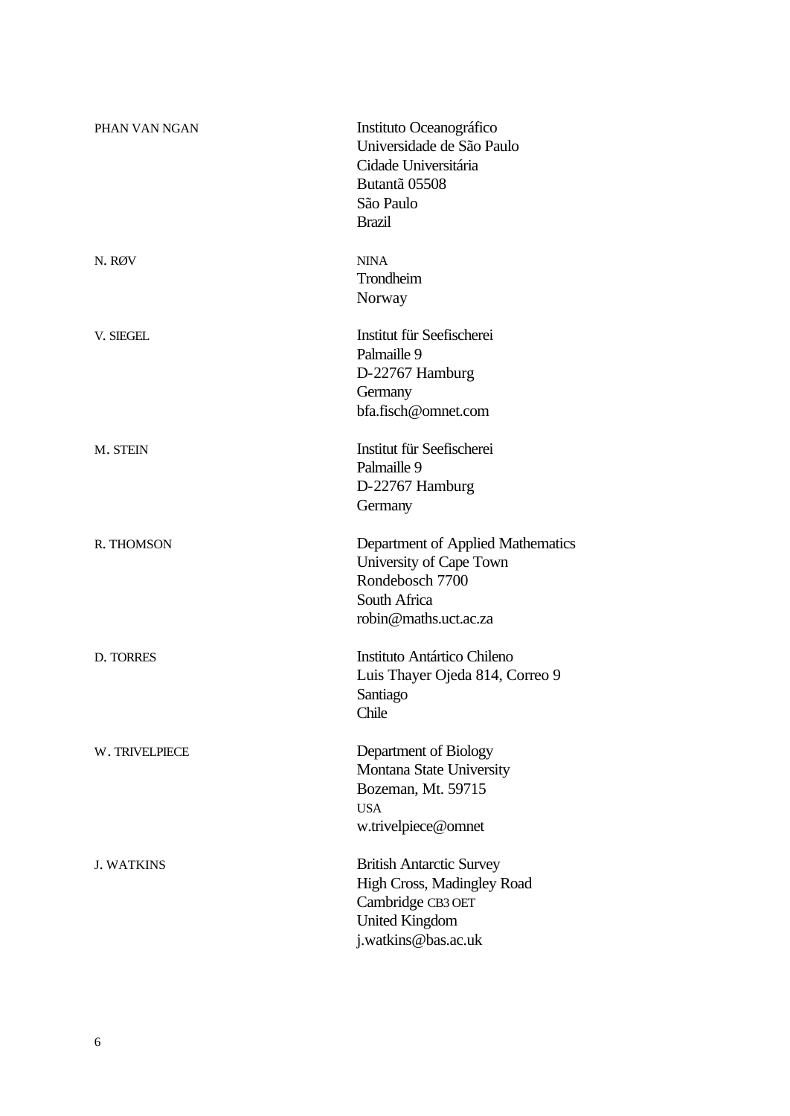| PHAN VAN NGAN     | Instituto Oceanográfico<br>Universidade de São Paulo<br>Cidade Universitária<br>Butantã 05508<br>São Paulo<br><b>Brazil</b>        |
|-------------------|------------------------------------------------------------------------------------------------------------------------------------|
| N. RØV            | <b>NINA</b><br>Trondheim<br>Norway                                                                                                 |
| V. SIEGEL         | Institut für Seefischerei<br>Palmaille 9<br>D-22767 Hamburg<br>Germany<br>bfa.fisch@omnet.com                                      |
| M. STEIN          | Institut für Seefischerei<br>Palmaille 9<br>D-22767 Hamburg<br>Germany                                                             |
| R. THOMSON        | Department of Applied Mathematics<br>University of Cape Town<br>Rondebosch 7700<br>South Africa<br>robin@maths.uct.ac.za           |
| D. TORRES         | Instituto Antártico Chileno<br>Luis Thayer Ojeda 814, Correo 9<br>Santiago<br>Chile                                                |
| W. TRIVELPIECE    | Department of Biology<br>Montana State University<br>Bozeman, Mt. 59715<br><b>USA</b><br>w.trivelpiece@omnet                       |
| <b>J. WATKINS</b> | <b>British Antarctic Survey</b><br>High Cross, Madingley Road<br>Cambridge CB3 OET<br><b>United Kingdom</b><br>j.watkins@bas.ac.uk |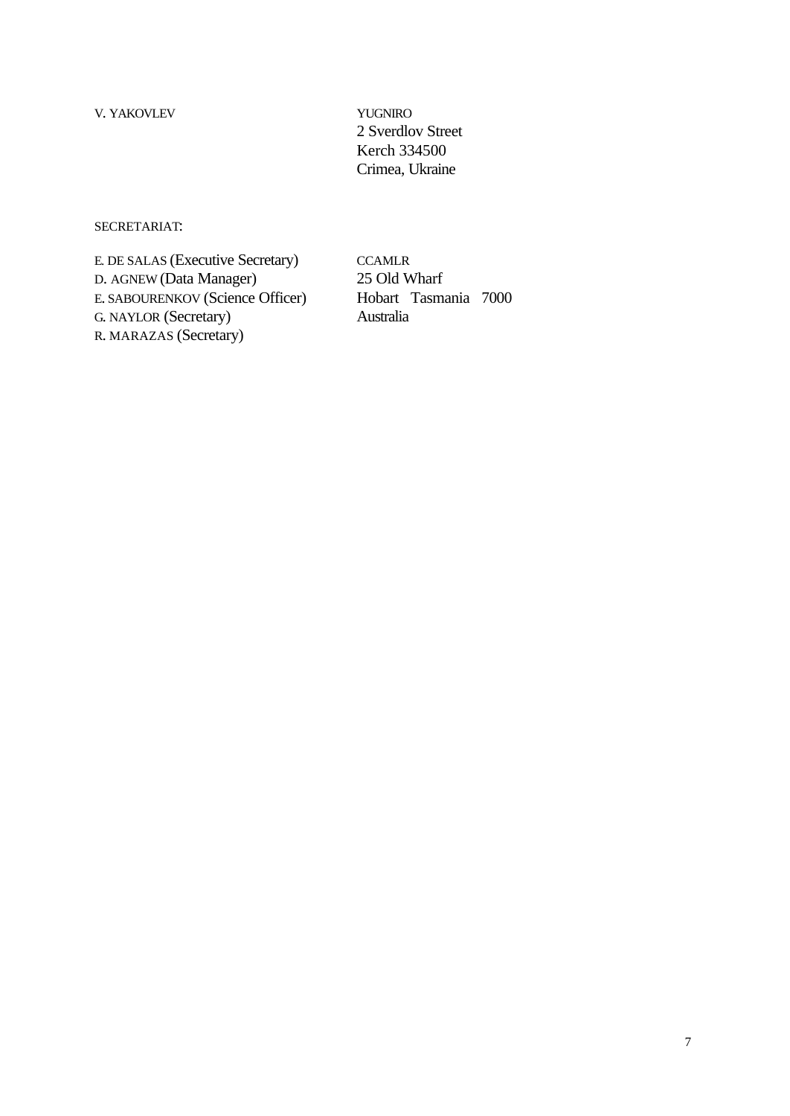V. YAKOVLEV YUGNIRO

2 Sverdlov Street Kerch 334500 Crimea, Ukraine

## SECRETARIAT:

E. DE SALAS (Executive Secretary) CCAMLR D. AGNEW (Data Manager) 25 Old Wharf<br>E. SABOURENKOV (Science Officer) Hobart Tasmania 7000 E. SABOURENKOV (Science Officer) G. NAYLOR (Secretary) Australia R. MARAZAS (Secretary)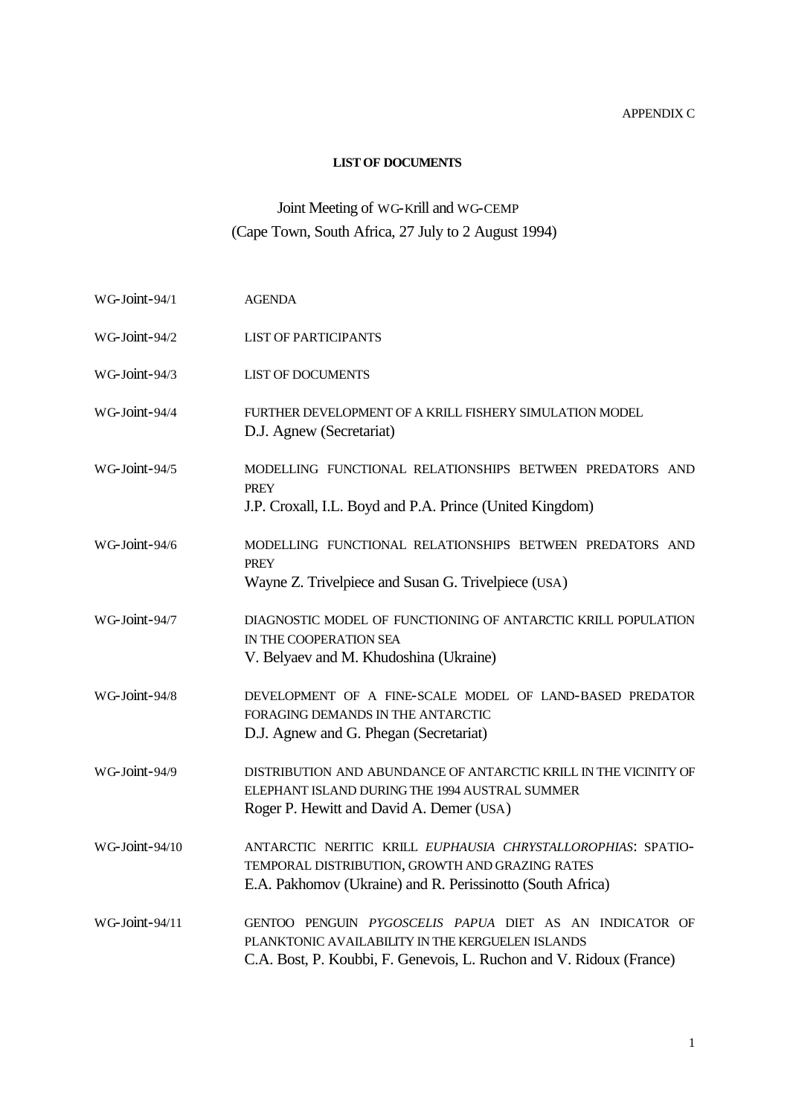## APPENDIX C

## **LIST OF DOCUMENTS**

# Joint Meeting of WG-Krill and WG-CEMP (Cape Town, South Africa, 27 July to 2 August 1994)

| WG-Joint-94/1  | <b>AGENDA</b>                                                                                                                                                                      |
|----------------|------------------------------------------------------------------------------------------------------------------------------------------------------------------------------------|
| WG-Joint-94/2  | <b>LIST OF PARTICIPANTS</b>                                                                                                                                                        |
| WG-Joint-94/3  | <b>LIST OF DOCUMENTS</b>                                                                                                                                                           |
| WG-Joint-94/4  | FURTHER DEVELOPMENT OF A KRILL FISHERY SIMULATION MODEL<br>D.J. Agnew (Secretariat)                                                                                                |
| WG-Joint-94/5  | MODELLING FUNCTIONAL RELATIONSHIPS BETWEEN PREDATORS AND<br><b>PREY</b><br>J.P. Croxall, I.L. Boyd and P.A. Prince (United Kingdom)                                                |
|                |                                                                                                                                                                                    |
| WG-Joint-94/6  | MODELLING FUNCTIONAL RELATIONSHIPS BETWEEN PREDATORS AND<br><b>PREY</b>                                                                                                            |
|                | Wayne Z. Trivelpiece and Susan G. Trivelpiece (USA)                                                                                                                                |
| WG-Joint-94/7  | DIAGNOSTIC MODEL OF FUNCTIONING OF ANTARCTIC KRILL POPULATION<br>IN THE COOPERATION SEA<br>V. Belyaev and M. Khudoshina (Ukraine)                                                  |
| WG-Joint-94/8  | DEVELOPMENT OF A FINE-SCALE MODEL OF LAND-BASED PREDATOR<br>FORAGING DEMANDS IN THE ANTARCTIC<br>D.J. Agnew and G. Phegan (Secretariat)                                            |
| WG-Joint-94/9  | DISTRIBUTION AND ABUNDANCE OF ANTARCTIC KRILL IN THE VICINITY OF<br>ELEPHANT ISLAND DURING THE 1994 AUSTRAL SUMMER<br>Roger P. Hewitt and David A. Demer (USA)                     |
| WG-Joint-94/10 | ANTARCTIC NERITIC KRILL EUPHAUSIA CHRYSTALLOROPHIAS: SPATIO-<br>TEMPORAL DISTRIBUTION, GROWTH AND GRAZING RATES<br>E.A. Pakhomov (Ukraine) and R. Perissinotto (South Africa)      |
| WG-Joint-94/11 | GENTOO PENGUIN PYGOSCELIS PAPUA DIET AS AN INDICATOR OF<br>PLANKTONIC AVAILABILITY IN THE KERGUELEN ISLANDS<br>C.A. Bost, P. Koubbi, F. Genevois, L. Ruchon and V. Ridoux (France) |